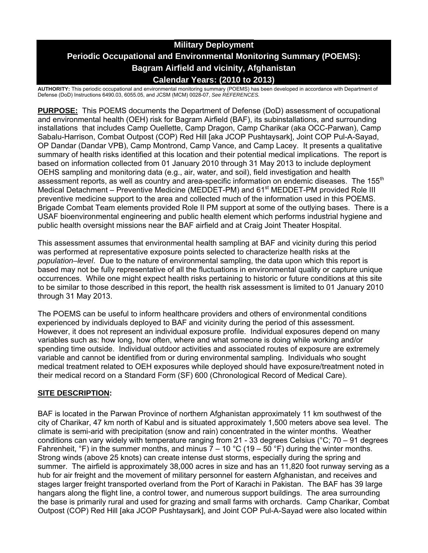# **Military Deployment Periodic Occupational and Environmental Monitoring Summary (POEMS): Bagram Airfield and vicinity, Afghanistan Calendar Years: (2010 to 2013)**

**AUTHORITY:** This periodic occupational and environmental monitoring summary (POEMS) has been developed in accordance with Department of Defense (DoD) Instructions 6490.03, 6055.05, and JCSM (MCM) 0028-07, *See REFERENCES.* 

**PURPOSE:** This POEMS documents the Department of Defense (DoD) assessment of occupational and environmental health (OEH) risk for Bagram Airfield (BAF), its subinstallations, and surrounding installations that includes Camp Ouellette, Camp Dragon, Camp Charikar (aka OCC-Parwan), Camp Sabalu-Harrison, Combat Outpost (COP) Red Hill [aka JCOP Pushtaysark], Joint COP Pul-A-Sayad, OP Dandar (Dandar VPB), Camp Montrond, Camp Vance, and Camp Lacey. It presents a qualitative summary of health risks identified at this location and their potential medical implications. The report is based on information collected from 01 January 2010 through 31 May 2013 to include deployment OEHS sampling and monitoring data (e.g., air, water, and soil), field investigation and health assessment reports, as well as country and area-specific information on endemic diseases. The 155<sup>th</sup> Medical Detachment – Preventive Medicine (MEDDET-PM) and 61<sup>st</sup> MEDDET-PM provided Role III preventive medicine support to the area and collected much of the information used in this POEMS. Brigade Combat Team elements provided Role II PM support at some of the outlying bases. There is a USAF bioenvironmental engineering and public health element which performs industrial hygiene and public health oversight missions near the BAF airfield and at Craig Joint Theater Hospital.

This assessment assumes that environmental health sampling at BAF and vicinity during this period was performed at representative exposure points selected to characterize health risks at the *population–level*. Due to the nature of environmental sampling, the data upon which this report is based may not be fully representative of all the fluctuations in environmental quality or capture unique occurrences. While one might expect health risks pertaining to historic or future conditions at this site to be similar to those described in this report, the health risk assessment is limited to 01 January 2010 through 31 May 2013.

The POEMS can be useful to inform healthcare providers and others of environmental conditions experienced by individuals deployed to BAF and vicinity during the period of this assessment. However, it does not represent an individual exposure profile. Individual exposures depend on many variables such as: how long, how often, where and what someone is doing while working and/or spending time outside. Individual outdoor activities and associated routes of exposure are extremely variable and cannot be identified from or during environmental sampling. Individuals who sought medical treatment related to OEH exposures while deployed should have exposure/treatment noted in their medical record on a Standard Form (SF) 600 (Chronological Record of Medical Care).

# **SITE DESCRIPTION:**

BAF is located in the Parwan Province of northern Afghanistan approximately 11 km southwest of the city of Charikar, 47 km north of Kabul and is situated approximately 1,500 meters above sea level. The climate is semi-arid with precipitation (snow and rain) concentrated in the winter months. Weather conditions can vary widely with temperature ranging from 21 - 33 degrees Celsius (°C; 70 – 91 degrees Fahrenheit,  ${}^{\circ}$ F) in the summer months, and minus 7 – 10  ${}^{\circ}$ C (19 – 50  ${}^{\circ}$ F) during the winter months. Strong winds (above 25 knots) can create intense dust storms, especially during the spring and summer. The airfield is approximately 38,000 acres in size and has an 11,820 foot runway serving as a hub for air freight and the movement of military personnel for eastern Afghanistan, and receives and stages larger freight transported overland from the Port of Karachi in Pakistan. The BAF has 39 large hangars along the flight line, a control tower, and numerous support buildings. The area surrounding the base is primarily rural and used for grazing and small farms with orchards. Camp Charikar, Combat Outpost (COP) Red Hill [aka JCOP Pushtaysark], and Joint COP Pul-A-Sayad were also located within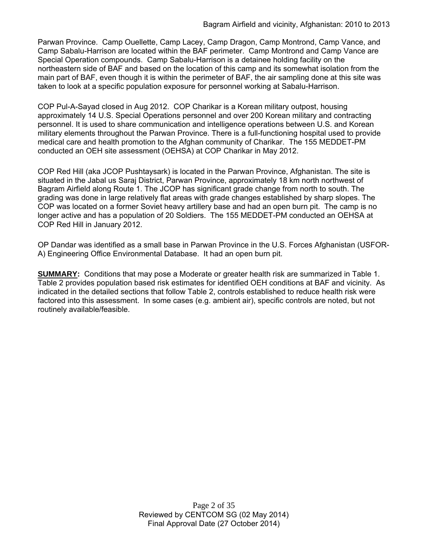Parwan Province. Camp Ouellette, Camp Lacey, Camp Dragon, Camp Montrond, Camp Vance, and Camp Sabalu-Harrison are located within the BAF perimeter. Camp Montrond and Camp Vance are Special Operation compounds. Camp Sabalu-Harrison is a detainee holding facility on the northeastern side of BAF and based on the location of this camp and its somewhat isolation from the main part of BAF, even though it is within the perimeter of BAF, the air sampling done at this site was taken to look at a specific population exposure for personnel working at Sabalu-Harrison.

COP Pul-A-Sayad closed in Aug 2012. COP Charikar is a Korean military outpost, housing approximately 14 U.S. Special Operations personnel and over 200 Korean military and contracting personnel. It is used to share communication and intelligence operations between U.S. and Korean military elements throughout the Parwan Province. There is a full-functioning hospital used to provide medical care and health promotion to the Afghan community of Charikar. The 155 MEDDET-PM conducted an OEH site assessment (OEHSA) at COP Charikar in May 2012.

COP Red Hill (aka JCOP Pushtaysark) is located in the Parwan Province, Afghanistan. The site is situated in the Jabal us Saraj District, Parwan Province, approximately 18 km north northwest of Bagram Airfield along Route 1. The JCOP has significant grade change from north to south. The grading was done in large relatively flat areas with grade changes established by sharp slopes. The COP was located on a former Soviet heavy artillery base and had an open burn pit. The camp is no longer active and has a population of 20 Soldiers. The 155 MEDDET-PM conducted an OEHSA at COP Red Hill in January 2012.

OP Dandar was identified as a small base in Parwan Province in the U.S. Forces Afghanistan (USFOR-A) Engineering Office Environmental Database. It had an open burn pit.

**SUMMARY:** Conditions that may pose a Moderate or greater health risk are summarized in Table 1. Table 2 provides population based risk estimates for identified OEH conditions at BAF and vicinity. As indicated in the detailed sections that follow Table 2, controls established to reduce health risk were factored into this assessment. In some cases (e.g. ambient air), specific controls are noted, but not routinely available/feasible.

> Page 2 of 35 Reviewed by CENTCOM SG (02 May 2014) Final Approval Date (27 October 2014)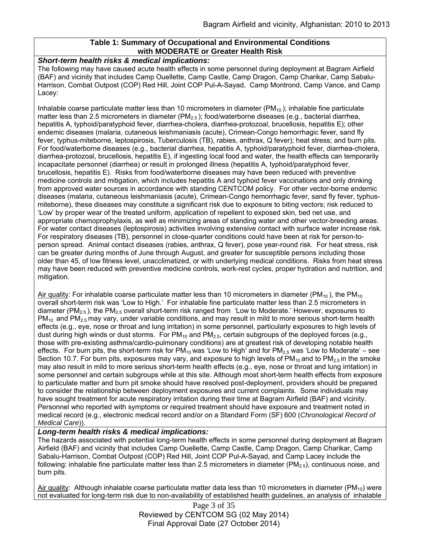### **Table 1: Summary of Occupational and Environmental Conditions with MODERATE or Greater Health Risk**

### *Short-term health risks & medical implications:*

The following may have caused acute health effects in some personnel during deployment at Bagram Airfield (BAF) and vicinity that includes Camp Ouellette, Camp Castle, Camp Dragon, Camp Charikar, Camp Sabalu-Harrison, Combat Outpost (COP) Red Hill, Joint COP Pul-A-Sayad, Camp Montrond, Camp Vance, and Camp Lacey:

Inhalable coarse particulate matter less than 10 micrometers in diameter ( $PM_{10}$ ); inhalable fine particulate matter less than 2.5 micrometers in diameter ( $PM_{2.5}$ ); food/waterborne diseases (e.g., bacterial diarrhea, hepatitis A, typhoid/paratyphoid fever, diarrhea-cholera, diarrhea-protozoal, brucellosis, hepatitis E); other endemic diseases (malaria, cutaneous leishmaniasis (acute), Crimean-Congo hemorrhagic fever, sand fly fever, typhus-miteborne, leptospirosis, Tuberculosis (TB), rabies, anthrax, Q fever); heat stress; and burn pits. For food/waterborne diseases (e.g., bacterial diarrhea, hepatitis A, typhoid/paratyphoid fever, diarrhea-cholera, diarrhea-protozoal, brucellosis, hepatitis E), if ingesting local food and water, the health effects can temporarily incapacitate personnel (diarrhea) or result in prolonged illness (hepatitis A, typhoid/paratyphoid fever, brucellosis, hepatitis E). Risks from food/waterborne diseases may have been reduced with preventive medicine controls and mitigation, which includes hepatitis A and typhoid fever vaccinations and only drinking from approved water sources in accordance with standing CENTCOM policy. For other vector-borne endemic diseases (malaria, cutaneous leishmaniasis (acute), Crimean-Congo hemorrhagic fever, sand fly fever, typhusmiteborne), these diseases may constitute a significant risk due to exposure to biting vectors; risk reduced to 'Low' by proper wear of the treated uniform, application of repellent to exposed skin, bed net use, and appropriate chemoprophylaxis, as well as minimizing areas of standing water and other vector-breeding areas. For water contact diseases (leptospirosis) activities involving extensive contact with surface water increase risk. For respiratory diseases (TB), personnel in close-quarter conditions could have been at risk for person-toperson spread. Animal contact diseases (rabies, anthrax, Q fever), pose year-round risk. For heat stress, risk can be greater during months of June through August, and greater for susceptible persons including those older than 45, of low fitness level, unacclimatized, or with underlying medical conditions. Risks from heat stress may have been reduced with preventive medicine controls, work-rest cycles, proper hydration and nutrition, and mitigation.

Air quality: For inhalable coarse particulate matter less than 10 micrometers in diameter (PM<sub>10</sub>), the PM<sub>10</sub> overall short-term risk was 'Low to High.' For inhalable fine particulate matter less than 2.5 micrometers in diameter (PM<sub>2.5</sub>), the PM<sub>2.5</sub> overall short-term risk ranged from 'Low to Moderate.' However, exposures to  $PM_{10}$  and PM<sub>2.5</sub> may vary, under variable conditions, and may result in mild to more serious short-term health effects (e.g., eye, nose or throat and lung irritation) in some personnel, particularly exposures to high levels of dust during high winds or dust storms. For  $PM_{10}$  and  $PM_{2.5}$ , certain subgroups of the deployed forces (e.g., those with pre-existing asthma/cardio-pulmonary conditions) are at greatest risk of developing notable health effects. For burn pits, the short-term risk for  $PM_{10}$  was 'Low to High' and for  $PM_{2.5}$  was 'Low to Moderate' – see Section 10.7. For burn pits, exposures may vary, and exposure to high levels of  $PM_{10}$  and to  $PM_{2.5}$  in the smoke may also result in mild to more serious short-term health effects (e.g., eye, nose or throat and lung irritation) in some personnel and certain subgroups while at this site. Although most short-term health effects from exposure to particulate matter and burn pit smoke should have resolved post-deployment, providers should be prepared to consider the relationship between deployment exposures and current complaints. Some individuals may have sought treatment for acute respiratory irritation during their time at Bagram Airfield (BAF) and vicinity. Personnel who reported with symptoms or required treatment should have exposure and treatment noted in medical record (e.g., electronic medical record and/or on a Standard Form (SF) 600 (*Chronological Record of Medical Care*)).

#### *Long-term health risks & medical implications:*

The hazards associated with potential long-term health effects in some personnel during deployment at Bagram Airfield (BAF) and vicinity that includes Camp Ouellette, Camp Castle, Camp Dragon, Camp Charikar, Camp Sabalu-Harrison, Combat Outpost (COP) Red Hill, Joint COP Pul-A-Sayad, and Camp Lacey include the following: inhalable fine particulate matter less than 2.5 micrometers in diameter ( $PM_{2.5}$ ), continuous noise, and burn pits.

Air quality: Although inhalable coarse particulate matter data less than 10 micrometers in diameter (PM<sub>10</sub>) were not evaluated for long-term risk due to non-availability of established health guidelines, an analysis of inhalable

> Page 3 of 35 Reviewed by CENTCOM SG (02 May 2014) Final Approval Date (27 October 2014)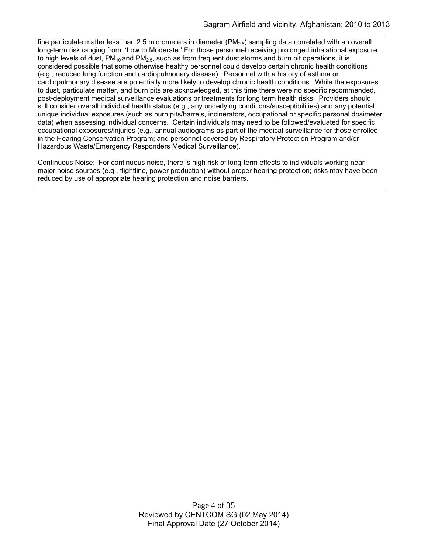fine particulate matter less than 2.5 micrometers in diameter ( $PM<sub>2.5</sub>$ ) sampling data correlated with an overall long-term risk ranging from 'Low to Moderate.' For those personnel receiving prolonged inhalational exposure to high levels of dust,  $PM_{10}$  and  $PM_{2.5}$ , such as from frequent dust storms and burn pit operations, it is considered possible that some otherwise healthy personnel could develop certain chronic health conditions (e.g., reduced lung function and cardiopulmonary disease). Personnel with a history of asthma or cardiopulmonary disease are potentially more likely to develop chronic health conditions. While the exposures to dust, particulate matter, and burn pits are acknowledged, at this time there were no specific recommended, post-deployment medical surveillance evaluations or treatments for long term health risks. Providers should still consider overall individual health status (e.g., any underlying conditions/susceptibilities) and any potential unique individual exposures (such as burn pits/barrels, incinerators, occupational or specific personal dosimeter data) when assessing individual concerns. Certain individuals may need to be followed/evaluated for specific occupational exposures/injuries (e.g., annual audiograms as part of the medical surveillance for those enrolled in the Hearing Conservation Program; and personnel covered by Respiratory Protection Program and/or Hazardous Waste/Emergency Responders Medical Surveillance).

Continuous Noise: For continuous noise, there is high risk of long-term effects to individuals working near major noise sources (e.g., flightline, power production) without proper hearing protection; risks may have been reduced by use of appropriate hearing protection and noise barriers.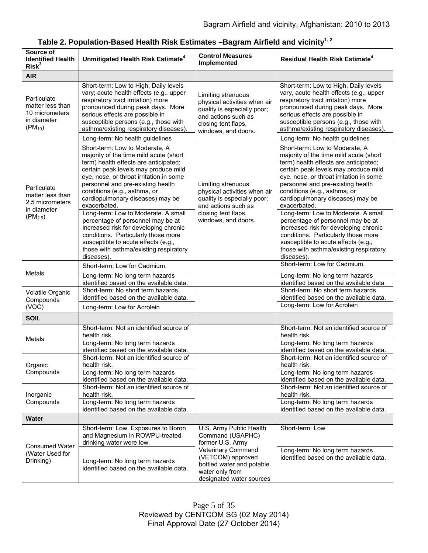| Source of<br><b>Identified Health</b><br>Risk <sup>3</sup>                        | Unmitigated Health Risk Estimate <sup>4</sup>                                                                                                                                                                                                                                                                                 | <b>Control Measures</b><br>Implemented                                                                                                                 | <b>Residual Health Risk Estimate<sup>4</sup></b>                                                                                                                                                                                                                                                                              |
|-----------------------------------------------------------------------------------|-------------------------------------------------------------------------------------------------------------------------------------------------------------------------------------------------------------------------------------------------------------------------------------------------------------------------------|--------------------------------------------------------------------------------------------------------------------------------------------------------|-------------------------------------------------------------------------------------------------------------------------------------------------------------------------------------------------------------------------------------------------------------------------------------------------------------------------------|
| <b>AIR</b>                                                                        |                                                                                                                                                                                                                                                                                                                               |                                                                                                                                                        |                                                                                                                                                                                                                                                                                                                               |
| Particulate<br>matter less than<br>10 micrometers<br>in diameter<br>$(PM_{10})$   | Short-term: Low to High, Daily levels<br>vary; acute health effects (e.g., upper<br>respiratory tract irritation) more<br>pronounced during peak days. More<br>serious effects are possible in<br>susceptible persons (e.g., those with<br>asthma/existing respiratory diseases).                                             | Limiting strenuous<br>physical activities when air<br>quality is especially poor;<br>and actions such as<br>closing tent flaps,<br>windows, and doors. | Short-term: Low to High, Daily levels<br>vary, acute health effects (e.g., upper<br>respiratory tract irritation) more<br>pronounced during peak days. More<br>serious effects are possible in<br>susceptible persons (e.g., those with<br>asthma/existing respiratory diseases).                                             |
|                                                                                   | Long-term: No health guidelines                                                                                                                                                                                                                                                                                               |                                                                                                                                                        | Long-term: No health guidelines                                                                                                                                                                                                                                                                                               |
| Particulate<br>matter less than<br>2.5 micrometers<br>in diameter<br>$(PM_{2.5})$ | Short-term: Low to Moderate, A<br>majority of the time mild acute (short<br>term) health effects are anticipated;<br>certain peak levels may produce mild<br>eye, nose, or throat irritation in some<br>personnel and pre-existing health<br>conditions (e.g., asthma, or<br>cardiopulmonary diseases) may be<br>exacerbated. | Limiting strenuous<br>physical activities when air<br>quality is especially poor;<br>and actions such as<br>closing tent flaps,<br>windows, and doors. | Short-term: Low to Moderate, A<br>majority of the time mild acute (short<br>term) health effects are anticipated;<br>certain peak levels may produce mild<br>eye, nose, or throat irritation in some<br>personnel and pre-existing health<br>conditions (e.g., asthma, or<br>cardiopulmonary diseases) may be<br>exacerbated. |
|                                                                                   | Long-term: Low to Moderate. A small<br>percentage of personnel may be at<br>increased risk for developing chronic<br>conditions. Particularly those more<br>susceptible to acute effects (e.g.,<br>those with asthma/existing respiratory<br>diseases).                                                                       |                                                                                                                                                        | Long-term: Low to Moderate. A small<br>percentage of personnel may be at<br>increased risk for developing chronic<br>conditions. Particularly those more<br>susceptible to acute effects (e.g.,<br>those with asthma/existing respiratory<br>diseases).                                                                       |
| Metals                                                                            | Short-term: Low for Cadmium.                                                                                                                                                                                                                                                                                                  |                                                                                                                                                        | Short-term: Low for Cadmium.                                                                                                                                                                                                                                                                                                  |
|                                                                                   | Long-term: No long term hazards<br>identified based on the available data.                                                                                                                                                                                                                                                    |                                                                                                                                                        | Long-term: No long term hazards<br>identified based on the available data                                                                                                                                                                                                                                                     |
| Volatile Organic<br>Compounds<br>(VOC)                                            | Short-term: No short term hazards<br>identified based on the available data.<br>Long-term: Low for Acrolein                                                                                                                                                                                                                   |                                                                                                                                                        | Short-term: No short term hazards<br>identified based on the available data.<br>Long-term: Low for Acrolein                                                                                                                                                                                                                   |
| <b>SOIL</b>                                                                       |                                                                                                                                                                                                                                                                                                                               |                                                                                                                                                        |                                                                                                                                                                                                                                                                                                                               |
| Metals                                                                            | Short-term: Not an identified source of<br>health risk.<br>Long-term: No long term hazards<br>identified based on the available data.                                                                                                                                                                                         |                                                                                                                                                        | Short-term: Not an identified source of<br>health risk.<br>Long-term: No long term hazards<br>identified based on the available data.                                                                                                                                                                                         |
| Organic<br>Compounds                                                              | Short-term: Not an identified source of<br>health risk.                                                                                                                                                                                                                                                                       |                                                                                                                                                        | Short-term: Not an identified source of<br>health risk.                                                                                                                                                                                                                                                                       |
|                                                                                   | Long-term: No long term hazards<br>identified based on the available data.<br>Short-term: Not an identified source of                                                                                                                                                                                                         |                                                                                                                                                        | Long-term: No long term hazards<br>identified based on the available data.<br>Short-term: Not an identified source of                                                                                                                                                                                                         |
| Inorganic<br>Compounds                                                            | health risk.<br>Long-term: No long term hazards<br>identified based on the available data.                                                                                                                                                                                                                                    |                                                                                                                                                        | health risk.<br>Long-term: No long term hazards<br>identified based on the available data.                                                                                                                                                                                                                                    |
| <b>Water</b>                                                                      |                                                                                                                                                                                                                                                                                                                               |                                                                                                                                                        |                                                                                                                                                                                                                                                                                                                               |
| <b>Consumed Water</b><br>(Water Used for<br>Drinking)                             | Short-term: Low. Exposures to Boron<br>and Magnesium in ROWPU-treated<br>drinking water were low.                                                                                                                                                                                                                             | U.S. Army Public Health<br>Command (USAPHC)<br>former U.S. Army<br><b>Veterinary Command</b>                                                           | Short-term: Low<br>Long-term: No long term hazards                                                                                                                                                                                                                                                                            |
|                                                                                   | Long-term: No long term hazards<br>identified based on the available data.                                                                                                                                                                                                                                                    | (VETCOM) approved<br>bottled water and potable<br>water only from<br>designated water sources                                                          | identified based on the available data.                                                                                                                                                                                                                                                                                       |

| Table 2. Population-Based Health Risk Estimates –Bagram Airfield and vicinity $^{1,\,2}$ |  |
|------------------------------------------------------------------------------------------|--|
|------------------------------------------------------------------------------------------|--|

Page 5 of 35 Reviewed by CENTCOM SG (02 May 2014) Final Approval Date (27 October 2014)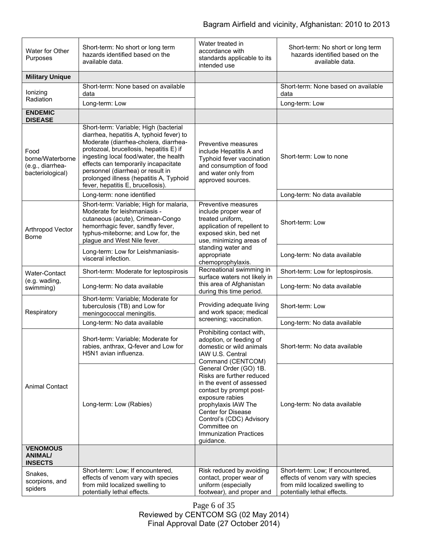| Water for Other<br>Purposes                                      | Short-term: No short or long term<br>hazards identified based on the<br>available data.                                                                                                                                                                                                                                                                                      | Water treated in<br>accordance with<br>standards applicable to its<br>intended use                                                                                                                                                                                                                                                                                                                       | Short-term: No short or long term<br>hazards identified based on the<br>available data.              |
|------------------------------------------------------------------|------------------------------------------------------------------------------------------------------------------------------------------------------------------------------------------------------------------------------------------------------------------------------------------------------------------------------------------------------------------------------|----------------------------------------------------------------------------------------------------------------------------------------------------------------------------------------------------------------------------------------------------------------------------------------------------------------------------------------------------------------------------------------------------------|------------------------------------------------------------------------------------------------------|
| <b>Military Unique</b>                                           |                                                                                                                                                                                                                                                                                                                                                                              |                                                                                                                                                                                                                                                                                                                                                                                                          |                                                                                                      |
| lonizing<br>Radiation                                            | Short-term: None based on available<br>data                                                                                                                                                                                                                                                                                                                                  |                                                                                                                                                                                                                                                                                                                                                                                                          | Short-term: None based on available<br>data                                                          |
|                                                                  | Long-term: Low                                                                                                                                                                                                                                                                                                                                                               |                                                                                                                                                                                                                                                                                                                                                                                                          | Long-term: Low                                                                                       |
| <b>ENDEMIC</b><br><b>DISEASE</b>                                 |                                                                                                                                                                                                                                                                                                                                                                              |                                                                                                                                                                                                                                                                                                                                                                                                          |                                                                                                      |
| Food<br>borne/Waterborne<br>(e.g., diarrhea-<br>bacteriological) | Short-term: Variable; High (bacterial<br>diarrhea, hepatitis A, typhoid fever) to<br>Moderate (diarrhea-cholera, diarrhea-<br>protozoal, brucellosis, hepatitis E) if<br>ingesting local food/water, the health<br>effects can temporarily incapacitate<br>personnel (diarrhea) or result in<br>prolonged illness (hepatitis A, Typhoid<br>fever, hepatitis E, brucellosis). | Preventive measures<br>include Hepatitis A and<br>Typhoid fever vaccination<br>and consumption of food<br>and water only from<br>approved sources.                                                                                                                                                                                                                                                       | Short-term: Low to none                                                                              |
|                                                                  | Long-term: none identified                                                                                                                                                                                                                                                                                                                                                   |                                                                                                                                                                                                                                                                                                                                                                                                          | Long-term: No data available                                                                         |
| Arthropod Vector<br>Borne                                        | Short-term: Variable; High for malaria,<br>Moderate for leishmaniasis -<br>cutaneous (acute), Crimean-Congo<br>hemorrhagic fever, sandfly fever,<br>typhus-miteborne; and Low for, the<br>plague and West Nile fever.                                                                                                                                                        | Preventive measures<br>include proper wear of<br>treated uniform,<br>application of repellent to<br>exposed skin, bed net<br>use, minimizing areas of                                                                                                                                                                                                                                                    | Short-term: Low                                                                                      |
|                                                                  | Long-term: Low for Leishmaniasis-<br>visceral infection.                                                                                                                                                                                                                                                                                                                     | standing water and<br>appropriate<br>chemoprophylaxis.                                                                                                                                                                                                                                                                                                                                                   | Long-term: No data available                                                                         |
| Water-Contact                                                    | Short-term: Moderate for leptospirosis                                                                                                                                                                                                                                                                                                                                       | Recreational swimming in<br>surface waters not likely in                                                                                                                                                                                                                                                                                                                                                 | Short-term: Low for leptospirosis.                                                                   |
| (e.g. wading,<br>swimming)                                       | Long-term: No data available                                                                                                                                                                                                                                                                                                                                                 | this area of Afghanistan<br>during this time period.                                                                                                                                                                                                                                                                                                                                                     | Long-term: No data available                                                                         |
| Respiratory                                                      | Short-term: Variable; Moderate for<br>tuberculosis (TB) and Low for<br>meningococcal meningitis.                                                                                                                                                                                                                                                                             | Providing adequate living<br>and work space; medical                                                                                                                                                                                                                                                                                                                                                     | Short-term: Low                                                                                      |
|                                                                  | Long-term: No data available                                                                                                                                                                                                                                                                                                                                                 | screening; vaccination.                                                                                                                                                                                                                                                                                                                                                                                  | Long-term: No data available                                                                         |
| <b>Animal Contact</b>                                            | Short-term: Variable; Moderate for<br>rabies, anthrax, Q-fever and Low for<br>H5N1 avian influenza.                                                                                                                                                                                                                                                                          | Prohibiting contact with,<br>adoption, or feeding of<br>domestic or wild animals<br>IAW U.S. Central<br>Command (CENTCOM)<br>General Order (GO) 1B.<br>Risks are further reduced<br>in the event of assessed<br>contact by prompt post-<br>exposure rabies<br>prophylaxis IAW The<br><b>Center for Disease</b><br>Control's (CDC) Advisory<br>Committee on<br><b>Immunization Practices</b><br>guidance. | Short-term: No data available                                                                        |
|                                                                  | Long-term: Low (Rabies)                                                                                                                                                                                                                                                                                                                                                      |                                                                                                                                                                                                                                                                                                                                                                                                          | Long-term: No data available                                                                         |
| <b>VENOMOUS</b><br><b>ANIMAL/</b><br><b>INSECTS</b>              |                                                                                                                                                                                                                                                                                                                                                                              |                                                                                                                                                                                                                                                                                                                                                                                                          |                                                                                                      |
| Snakes,                                                          | Short-term: Low; If encountered,                                                                                                                                                                                                                                                                                                                                             | Risk reduced by avoiding                                                                                                                                                                                                                                                                                                                                                                                 | Short-term: Low; If encountered,                                                                     |
| scorpions, and<br>spiders                                        | effects of venom vary with species<br>from mild localized swelling to<br>potentially lethal effects.                                                                                                                                                                                                                                                                         | contact, proper wear of<br>uniform (especially<br>footwear), and proper and                                                                                                                                                                                                                                                                                                                              | effects of venom vary with species<br>from mild localized swelling to<br>potentially lethal effects. |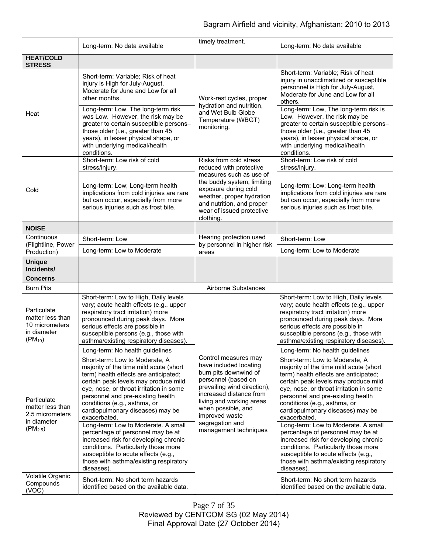|                                                                                   | Long-term: No data available                                                                                                                                                                                                                                                                                                                                                                                                                                                                                                     | timely treatment.                                                                                                                                                                                                                                                        | Long-term: No data available                                                                                                                                                                                                                                                                                                                                                                                                                                                                                                     |
|-----------------------------------------------------------------------------------|----------------------------------------------------------------------------------------------------------------------------------------------------------------------------------------------------------------------------------------------------------------------------------------------------------------------------------------------------------------------------------------------------------------------------------------------------------------------------------------------------------------------------------|--------------------------------------------------------------------------------------------------------------------------------------------------------------------------------------------------------------------------------------------------------------------------|----------------------------------------------------------------------------------------------------------------------------------------------------------------------------------------------------------------------------------------------------------------------------------------------------------------------------------------------------------------------------------------------------------------------------------------------------------------------------------------------------------------------------------|
| <b>HEAT/COLD</b><br><b>STRESS</b>                                                 |                                                                                                                                                                                                                                                                                                                                                                                                                                                                                                                                  |                                                                                                                                                                                                                                                                          |                                                                                                                                                                                                                                                                                                                                                                                                                                                                                                                                  |
| Heat                                                                              | Short-term: Variable; Risk of heat<br>injury is High for July-August,<br>Moderate for June and Low for all<br>other months.                                                                                                                                                                                                                                                                                                                                                                                                      | Work-rest cycles, proper<br>hydration and nutrition,<br>and Wet Bulb Globe<br>Temperature (WBGT)<br>monitoring.                                                                                                                                                          | Short-term: Variable; Risk of heat<br>injury in unacclimatized or susceptible<br>personnel is High for July-August,<br>Moderate for June and Low for all<br>others.                                                                                                                                                                                                                                                                                                                                                              |
|                                                                                   | Long-term: Low, The long-term risk<br>was Low. However, the risk may be<br>greater to certain susceptible persons-<br>those older (i.e., greater than 45<br>years), in lesser physical shape, or<br>with underlying medical/health<br>conditions.                                                                                                                                                                                                                                                                                |                                                                                                                                                                                                                                                                          | Long-term: Low, The long-term risk is<br>Low. However, the risk may be<br>greater to certain susceptible persons-<br>those older (i.e., greater than 45<br>years), in lesser physical shape, or<br>with underlying medical/health<br>conditions.                                                                                                                                                                                                                                                                                 |
|                                                                                   | Short-term: Low risk of cold<br>stress/injury.                                                                                                                                                                                                                                                                                                                                                                                                                                                                                   | Risks from cold stress<br>reduced with protective<br>measures such as use of<br>the buddy system, limiting<br>exposure during cold<br>weather, proper hydration<br>and nutrition, and proper<br>wear of issued protective<br>clothing.                                   | Short-term: Low risk of cold<br>stress/injury.                                                                                                                                                                                                                                                                                                                                                                                                                                                                                   |
| Cold                                                                              | Long-term: Low; Long-term health<br>implications from cold injuries are rare<br>but can occur, especially from more<br>serious injuries such as frost bite.                                                                                                                                                                                                                                                                                                                                                                      |                                                                                                                                                                                                                                                                          | Long-term: Low; Long-term health<br>implications from cold injuries are rare<br>but can occur, especially from more<br>serious injuries such as frost bite.                                                                                                                                                                                                                                                                                                                                                                      |
| <b>NOISE</b>                                                                      |                                                                                                                                                                                                                                                                                                                                                                                                                                                                                                                                  |                                                                                                                                                                                                                                                                          |                                                                                                                                                                                                                                                                                                                                                                                                                                                                                                                                  |
| Continuous<br>(Flightline, Power<br>Production)                                   | Short-term: Low                                                                                                                                                                                                                                                                                                                                                                                                                                                                                                                  | Hearing protection used<br>by personnel in higher risk                                                                                                                                                                                                                   | Short-term: Low                                                                                                                                                                                                                                                                                                                                                                                                                                                                                                                  |
|                                                                                   | Long-term: Low to Moderate                                                                                                                                                                                                                                                                                                                                                                                                                                                                                                       | areas                                                                                                                                                                                                                                                                    | Long-term: Low to Moderate                                                                                                                                                                                                                                                                                                                                                                                                                                                                                                       |
| <b>Unique</b><br>Incidents/<br><b>Concerns</b>                                    |                                                                                                                                                                                                                                                                                                                                                                                                                                                                                                                                  |                                                                                                                                                                                                                                                                          |                                                                                                                                                                                                                                                                                                                                                                                                                                                                                                                                  |
| <b>Burn Pits</b>                                                                  |                                                                                                                                                                                                                                                                                                                                                                                                                                                                                                                                  | Airborne Substances                                                                                                                                                                                                                                                      |                                                                                                                                                                                                                                                                                                                                                                                                                                                                                                                                  |
| Particulate<br>matter less than<br>10 micrometers<br>in diameter<br>$(PM_{10})$   | Short-term: Low to High, Daily levels<br>vary; acute health effects (e.g., upper<br>respiratory tract irritation) more<br>pronounced during peak days. More<br>serious effects are possible in<br>susceptible persons (e.g., those with<br>asthma/existing respiratory diseases).                                                                                                                                                                                                                                                |                                                                                                                                                                                                                                                                          | Short-term: Low to High, Daily levels<br>vary; acute health effects (e.g., upper<br>respiratory tract irritation) more<br>pronounced during peak days. More<br>serious effects are possible in<br>susceptible persons (e.g., those with<br>asthma/existing respiratory diseases).                                                                                                                                                                                                                                                |
|                                                                                   | Long-term: No health guidelines                                                                                                                                                                                                                                                                                                                                                                                                                                                                                                  |                                                                                                                                                                                                                                                                          | Long-term: No health guidelines                                                                                                                                                                                                                                                                                                                                                                                                                                                                                                  |
| Particulate<br>matter less than<br>2.5 micrometers<br>in diameter<br>$(PM_{2.5})$ | Short-term: Low to Moderate, A<br>majority of the time mild acute (short<br>term) health effects are anticipated;<br>certain peak levels may produce mild<br>eye, nose, or throat irritation in some<br>personnel and pre-existing health<br>conditions (e.g., asthma, or<br>cardiopulmonary diseases) may be<br>exacerbated.<br>Long-term: Low to Moderate. A small<br>percentage of personnel may be at<br>increased risk for developing chronic<br>conditions. Particularly those more<br>susceptible to acute effects (e.g., | Control measures may<br>have included locating<br>burn pits downwind of<br>personnel (based on<br>prevailing wind direction),<br>increased distance from<br>living and working areas<br>when possible, and<br>improved waste<br>segregation and<br>management techniques | Short-term: Low to Moderate, A<br>majority of the time mild acute (short<br>term) health effects are anticipated;<br>certain peak levels may produce mild<br>eye, nose, or throat irritation in some<br>personnel and pre-existing health<br>conditions (e.g., asthma, or<br>cardiopulmonary diseases) may be<br>exacerbated.<br>Long-term: Low to Moderate. A small<br>percentage of personnel may be at<br>increased risk for developing chronic<br>conditions. Particularly those more<br>susceptible to acute effects (e.g., |
|                                                                                   | those with asthma/existing respiratory<br>diseases).                                                                                                                                                                                                                                                                                                                                                                                                                                                                             |                                                                                                                                                                                                                                                                          | those with asthma/existing respiratory<br>diseases).                                                                                                                                                                                                                                                                                                                                                                                                                                                                             |
| Volatile Organic<br>Compounds<br>(VOC)                                            | Short-term: No short term hazards<br>identified based on the available data.                                                                                                                                                                                                                                                                                                                                                                                                                                                     |                                                                                                                                                                                                                                                                          | Short-term: No short term hazards<br>identified based on the available data.                                                                                                                                                                                                                                                                                                                                                                                                                                                     |

Page 7 of 35 Reviewed by CENTCOM SG (02 May 2014) Final Approval Date (27 October 2014)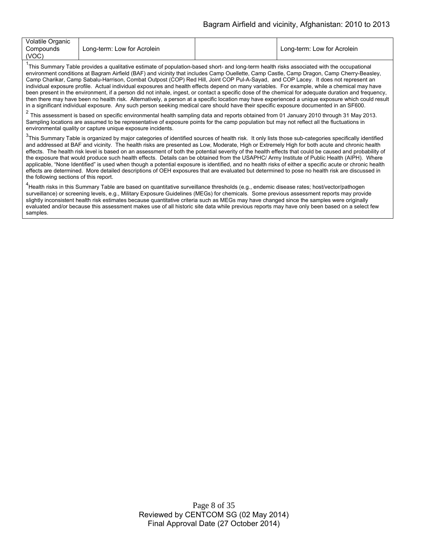| Volatile Organic<br>Compounds | Long-term: Low for Acrolein | Long-term: Low for Acrolein |
|-------------------------------|-----------------------------|-----------------------------|
| (VOC)                         |                             |                             |

<sup>1</sup>This Summary Table provides a qualitative estimate of population-based short- and long-term health risks associated with the occupational environment conditions at Bagram Airfield (BAF) and vicinity that includes Camp Ouellette, Camp Castle, Camp Dragon, Camp Cherry-Beasley, Camp Charikar, Camp Sabalu-Harrison, Combat Outpost (COP) Red Hill, Joint COP Pul-A-Sayad, and COP Lacey. It does not represent an individual exposure profile. Actual individual exposures and health effects depend on many variables. For example, while a chemical may have been present in the environment, if a person did not inhale, ingest, or contact a specific dose of the chemical for adequate duration and frequency, then there may have been no health risk. Alternatively, a person at a specific location may have experienced a unique exposure which could result in a significant individual exposure. Any such person seeking medical care should have their specific exposure documented in an SF600.

 $2$  This assessment is based on specific environmental health sampling data and reports obtained from 01 January 2010 through 31 May 2013. Sampling locations are assumed to be representative of exposure points for the camp population but may not reflect all the fluctuations in environmental quality or capture unique exposure incidents.

<sup>3</sup>This Summary Table is organized by major categories of identified sources of health risk. It only lists those sub-categories specifically identified and addressed at BAF and vicinity. The health risks are presented as Low, Moderate, High or Extremely High for both acute and chronic health effects. The health risk level is based on an assessment of both the potential severity of the health effects that could be caused and probability of the exposure that would produce such health effects. Details can be obtained from the USAPHC/ Army Institute of Public Health (AIPH). Where applicable, "None Identified" is used when though a potential exposure is identified, and no health risks of either a specific acute or chronic health effects are determined. More detailed descriptions of OEH exposures that are evaluated but determined to pose no health risk are discussed in the following sections of this report.

<sup>4</sup><br>Health risks in this Summary Table are based on quantitative surveillance thresholds (e.g., endemic disease rates; host/vector/pathogen surveillance) or screening levels, e.g., Military Exposure Guidelines (MEGs) for chemicals*.* Some previous assessment reports may provide slightly inconsistent health risk estimates because quantitative criteria such as MEGs may have changed since the samples were originally evaluated and/or because this assessment makes use of all historic site data while previous reports may have only been based on a select few samples.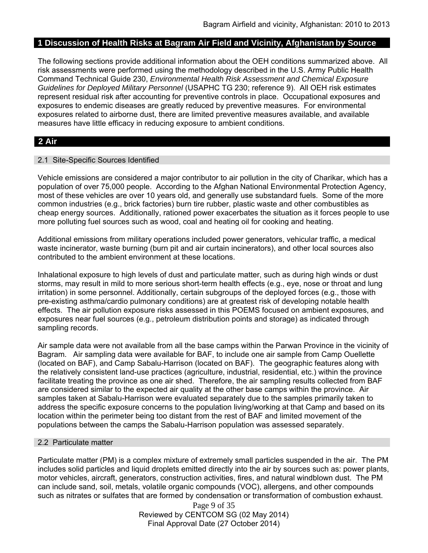### **1 Discussion of Health Risks at Bagram Air Field and Vicinity, Afghanistan by Source**

The following sections provide additional information about the OEH conditions summarized above. All risk assessments were performed using the methodology described in the U.S. Army Public Health Command Technical Guide 230, *Environmental Health Risk Assessment and Chemical Exposure Guidelines for Deployed Military Personnel* (USAPHC TG 230; reference 9). All OEH risk estimates represent residual risk after accounting for preventive controls in place. Occupational exposures and exposures to endemic diseases are greatly reduced by preventive measures. For environmental exposures related to airborne dust, there are limited preventive measures available, and available measures have little efficacy in reducing exposure to ambient conditions.

# **2 Air**

#### 2.1 Site-Specific Sources Identified

Vehicle emissions are considered a major contributor to air pollution in the city of Charikar, which has a population of over 75,000 people. According to the Afghan National Environmental Protection Agency, most of these vehicles are over 10 years old, and generally use substandard fuels. Some of the more common industries (e.g., brick factories) burn tire rubber, plastic waste and other combustibles as cheap energy sources. Additionally, rationed power exacerbates the situation as it forces people to use more polluting fuel sources such as wood, coal and heating oil for cooking and heating.

Additional emissions from military operations included power generators, vehicular traffic, a medical waste incinerator, waste burning (burn pit and air curtain incinerators), and other local sources also contributed to the ambient environment at these locations.

Inhalational exposure to high levels of dust and particulate matter, such as during high winds or dust storms, may result in mild to more serious short-term health effects (e.g., eye, nose or throat and lung irritation) in some personnel. Additionally, certain subgroups of the deployed forces (e.g., those with pre-existing asthma/cardio pulmonary conditions) are at greatest risk of developing notable health effects. The air pollution exposure risks assessed in this POEMS focused on ambient exposures, and exposures near fuel sources (e.g., petroleum distribution points and storage) as indicated through sampling records.

Air sample data were not available from all the base camps within the Parwan Province in the vicinity of Bagram. Air sampling data were available for BAF, to include one air sample from Camp Ouellette (located on BAF), and Camp Sabalu-Harrison (located on BAF). The geographic features along with the relatively consistent land-use practices (agriculture, industrial, residential, etc.) within the province facilitate treating the province as one air shed. Therefore, the air sampling results collected from BAF are considered similar to the expected air quality at the other base camps within the province. Air samples taken at Sabalu-Harrison were evaluated separately due to the samples primarily taken to address the specific exposure concerns to the population living/working at that Camp and based on its location within the perimeter being too distant from the rest of BAF and limited movement of the populations between the camps the Sabalu-Harrison population was assessed separately.

#### 2.2 Particulate matter

Particulate matter (PM) is a complex mixture of extremely small particles suspended in the air. The PM includes solid particles and liquid droplets emitted directly into the air by sources such as: power plants, motor vehicles, aircraft, generators, construction activities, fires, and natural windblown dust. The PM can include sand, soil, metals, volatile organic compounds (VOC), allergens, and other compounds such as nitrates or sulfates that are formed by condensation or transformation of combustion exhaust.

> Page 9 of 35 Reviewed by CENTCOM SG (02 May 2014) Final Approval Date (27 October 2014)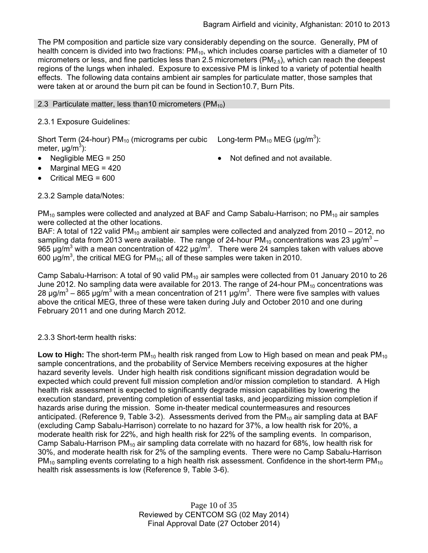The PM composition and particle size vary considerably depending on the source. Generally, PM of health concern is divided into two fractions:  $PM_{10}$ , which includes coarse particles with a diameter of 10 micrometers or less, and fine particles less than 2.5 micrometers ( $PM<sub>2.5</sub>$ ), which can reach the deepest regions of the lungs when inhaled. Exposure to excessive PM is linked to a variety of potential health effects. The following data contains ambient air samples for particulate matter, those samples that were taken at or around the burn pit can be found in Section10.7, Burn Pits.

### 2.3 Particulate matter, less than 10 micrometers ( $PM_{10}$ )

### 2.3.1 Exposure Guidelines:

Short Term (24-hour) PM<sub>10</sub> (micrograms per cubic Long-term PM<sub>10</sub> MEG (µg/m<sup>3</sup>): meter, μg/m<sup>3</sup>):

Negligible MEG = 250 **Note and 19** Not defined and not available.

- Marginal MEG = 420
- Critical MEG = 600

### 2.3.2 Sample data/Notes:

 $PM_{10}$  samples were collected and analyzed at BAF and Camp Sabalu-Harrison; no  $PM_{10}$  air samples were collected at the other locations.

BAF: A total of 122 valid PM<sub>10</sub> ambient air samples were collected and analyzed from 2010 – 2012, no sampling data from 2013 were available. The range of 24-hour PM<sub>10</sub> concentrations was 23  $\mu$ g/m<sup>3</sup> – 965 μg/m<sup>3</sup> with a mean concentration of 422 μg/m<sup>3</sup>. There were 24 samples taken with values above 600  $\mu$ g/m<sup>3</sup>, the critical MEG for PM<sub>10</sub>; all of these samples were taken in 2010.

Camp Sabalu-Harrison: A total of 90 valid  $PM_{10}$  air samples were collected from 01 January 2010 to 26 June 2012. No sampling data were available for 2013. The range of 24-hour  $PM<sub>10</sub>$  concentrations was 28 μg/m<sup>3</sup> – 865 μg/m<sup>3</sup> with a mean concentration of 211 μg/m<sup>3</sup>. There were five samples with values above the critical MEG, three of these were taken during July and October 2010 and one during February 2011 and one during March 2012.

### 2.3.3 Short-term health risks:

**Low to High:** The short-term PM<sub>10</sub> health risk ranged from Low to High based on mean and peak PM<sub>10</sub> sample concentrations, and the probability of Service Members receiving exposures at the higher hazard severity levels. Under high health risk conditions significant mission degradation would be expected which could prevent full mission completion and/or mission completion to standard. A High health risk assessment is expected to significantly degrade mission capabilities by lowering the execution standard, preventing completion of essential tasks, and jeopardizing mission completion if hazards arise during the mission. Some in-theater medical countermeasures and resources anticipated. (Reference 9, Table 3-2). Assessments derived from the  $PM_{10}$  air sampling data at BAF (excluding Camp Sabalu-Harrison) correlate to no hazard for 37%, a low health risk for 20%, a moderate health risk for 22%, and high health risk for 22% of the sampling events. In comparison, Camp Sabalu-Harrison  $PM_{10}$  air sampling data correlate with no hazard for 68%, low health risk for 30%, and moderate health risk for 2% of the sampling events. There were no Camp Sabalu-Harrison  $PM_{10}$  sampling events correlating to a high health risk assessment. Confidence in the short-term  $PM_{10}$ health risk assessments is low (Reference 9, Table 3-6).

> Page 10 of 35 Reviewed by CENTCOM SG (02 May 2014) Final Approval Date (27 October 2014)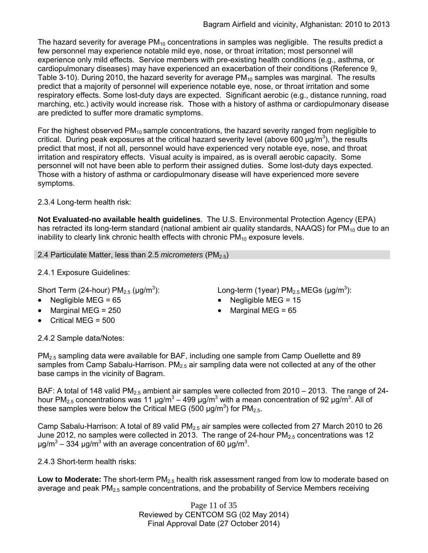The hazard severity for average  $PM_{10}$  concentrations in samples was negligible. The results predict a few personnel may experience notable mild eye, nose, or throat irritation; most personnel will experience only mild effects. Service members with pre-existing health conditions (e.g., asthma, or cardiopulmonary diseases) may have experienced an exacerbation of their conditions (Reference 9, Table 3-10). During 2010, the hazard severity for average  $PM_{10}$  samples was marginal. The results predict that a majority of personnel will experience notable eye, nose, or throat irritation and some respiratory effects. Some lost-duty days are expected. Significant aerobic (e.g., distance running, road marching, etc.) activity would increase risk. Those with a history of asthma or cardiopulmonary disease are predicted to suffer more dramatic symptoms.

For the highest observed  $PM_{10}$  sample concentrations, the hazard severity ranged from negligible to critical. During peak exposures at the critical hazard severity level (above 600  $\mu$ g/m<sup>3</sup>), the results predict that most, if not all, personnel would have experienced very notable eye, nose, and throat irritation and respiratory effects. Visual acuity is impaired, as is overall aerobic capacity. Some personnel will not have been able to perform their assigned duties. Some lost-duty days expected. Those with a history of asthma or cardiopulmonary disease will have experienced more severe symptoms.

2.3.4 Long-term health risk:

**Not Evaluated-no available health guidelines**. The U.S. Environmental Protection Agency (EPA) has retracted its long-term standard (national ambient air quality standards, NAAQS) for  $PM_{10}$  due to an inability to clearly link chronic health effects with chronic  $PM_{10}$  exposure levels.

2.4 Particulate Matter, less than 2.5 *micrometers* (PM<sub>2.5</sub>)

2.4.1 Exposure Guidelines:

Short Term (24-hour)  $PM<sub>2.5</sub>$  ( $\mu$ g/m<sup>3</sup>):

- Negligible MEG = 65 Negligible MEG = 15
- 
- Critical MEG = 500

): Long-term (1year)  $PM_{2.5}$  MEGs (µg/m<sup>3</sup>):

- 
- Marginal MEG =  $250$   $\bullet$  Marginal MEG =  $65$

2.4.2 Sample data/Notes:

PM<sub>2.5</sub> sampling data were available for BAF, including one sample from Camp Ouellette and 89 samples from Camp Sabalu-Harrison.  $PM<sub>2.5</sub>$  air sampling data were not collected at any of the other base camps in the vicinity of Bagram.

BAF: A total of 148 valid PM<sub>2.5</sub> ambient air samples were collected from 2010 – 2013. The range of 24hour PM<sub>2.5</sub> concentrations was 11 μg/m<sup>3</sup> – 499 μg/m<sup>3</sup> with a mean concentration of 92 μg/m<sup>3</sup>. All of these samples were below the Critical MEG (500  $\mu$ g/m<sup>3</sup>) for PM<sub>2.5</sub>.

Camp Sabalu-Harrison: A total of 89 valid  $PM<sub>2.5</sub>$  air samples were collected from 27 March 2010 to 26 June 2012, no samples were collected in 2013. The range of 24-hour  $PM_{2.5}$  concentrations was 12 μg/m<sup>3</sup> – 334 μg/m<sup>3</sup> with an average concentration of 60 μg/m<sup>3</sup>.

2.4.3 Short-term health risks:

Low to Moderate: The short-term PM<sub>2.5</sub> health risk assessment ranged from low to moderate based on average and peak  $PM<sub>2.5</sub>$  sample concentrations, and the probability of Service Members receiving

> Page 11 of 35 Reviewed by CENTCOM SG (02 May 2014) Final Approval Date (27 October 2014)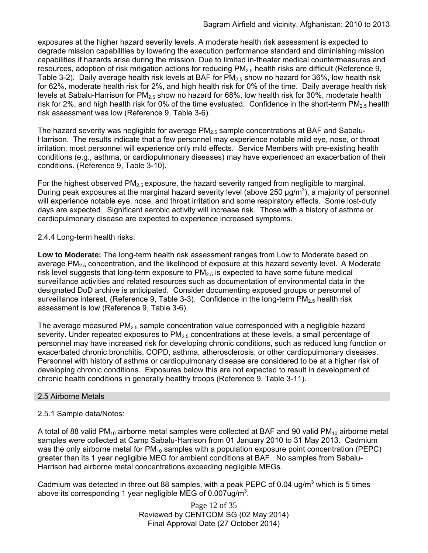exposures at the higher hazard severity levels. A moderate health risk assessment is expected to degrade mission capabilities by lowering the execution performance standard and diminishing mission capabilities if hazards arise during the mission. Due to limited in-theater medical countermeasures and resources, adoption of risk mitigation actions for reducing  $PM<sub>2.5</sub>$  health risks are difficult (Reference 9, Table 3-2). Daily average health risk levels at BAF for  $PM<sub>2.5</sub>$  show no hazard for 36%, low health risk for 62%, moderate health risk for 2%, and high health risk for 0% of the time. Daily average health risk levels at Sabalu-Harrison for  $PM<sub>2.5</sub>$  show no hazard for 68%, low health risk for 30%, moderate health risk for 2%, and high health risk for 0% of the time evaluated. Confidence in the short-term  $PM<sub>2.5</sub>$  health risk assessment was low (Reference 9, Table 3-6).

The hazard severity was negligible for average  $PM_{2.5}$  sample concentrations at BAF and Sabalu-Harrison. The results indicate that a few personnel may experience notable mild eye, nose, or throat irritation; most personnel will experience only mild effects. Service Members with pre-existing health conditions (e.g., asthma, or cardiopulmonary diseases) may have experienced an exacerbation of their conditions. (Reference 9, Table 3-10).

For the highest observed  $PM<sub>2.5</sub>$  exposure, the hazard severity ranged from negligible to marginal. During peak exposures at the marginal hazard severity level (above 250  $\mu$ g/m<sup>3</sup>), a majority of personnel will experience notable eye, nose, and throat irritation and some respiratory effects. Some lost-duty days are expected. Significant aerobic activity will increase risk. Those with a history of asthma or cardiopulmonary disease are expected to experience increased symptoms.

2.4.4 Long-term health risks:

**Low to Moderate:** The long-term health risk assessment ranges from Low to Moderate based on average  $PM<sub>2.5</sub>$  concentration, and the likelihood of exposure at this hazard severity level. A Moderate risk level suggests that long-term exposure to  $PM<sub>2.5</sub>$  is expected to have some future medical surveillance activities and related resources such as documentation of environmental data in the designated DoD archive is anticipated. Consider documenting exposed groups or personnel of surveillance interest. (Reference 9, Table 3-3). Confidence in the long-term  $PM<sub>2.5</sub>$  health risk assessment is low (Reference 9, Table 3-6).

The average measured  $PM_{2.5}$  sample concentration value corresponded with a negligible hazard severity. Under repeated exposures to  $PM<sub>2.5</sub>$  concentrations at these levels, a small percentage of personnel may have increased risk for developing chronic conditions, such as reduced lung function or exacerbated chronic bronchitis, COPD, asthma, atherosclerosis, or other cardiopulmonary diseases. Personnel with history of asthma or cardiopulmonary disease are considered to be at a higher risk of developing chronic conditions. Exposures below this are not expected to result in development of chronic health conditions in generally healthy troops (Reference 9, Table 3-11).

### 2.5 Airborne Metals

### 2.5.1 Sample data/Notes:

A total of 88 valid PM<sub>10</sub> airborne metal samples were collected at BAF and 90 valid PM<sub>10</sub> airborne metal samples were collected at Camp Sabalu-Harrison from 01 January 2010 to 31 May 2013. Cadmium was the only airborne metal for PM<sub>10</sub> samples with a population exposure point concentration (PEPC) greater than its 1 year negligible MEG for ambient conditions at BAF. No samples from Sabalu-Harrison had airborne metal concentrations exceeding negligible MEGs.

Cadmium was detected in three out 88 samples, with a peak PEPC of 0.04 ug/m<sup>3</sup> which is 5 times above its corresponding 1 year negligible MEG of 0.007ug/m<sup>3</sup>.

> Page 12 of 35 Reviewed by CENTCOM SG (02 May 2014) Final Approval Date (27 October 2014)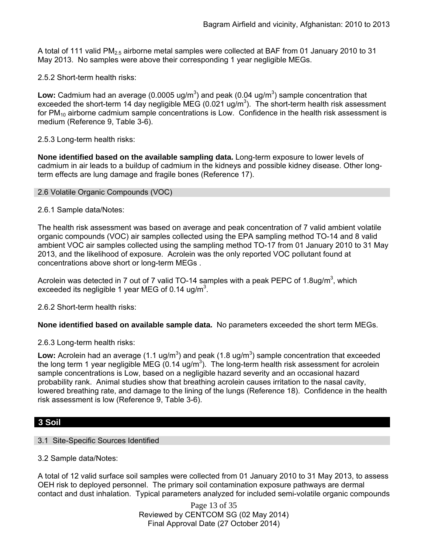A total of 111 valid PM2.5 airborne metal samples were collected at BAF from 01 January 2010 to 31 May 2013. No samples were above their corresponding 1 year negligible MEGs.

2.5.2 Short-term health risks:

Low: Cadmium had an average (0.0005 ug/m<sup>3</sup>) and peak (0.04 ug/m<sup>3</sup>) sample concentration that exceeded the short-term 14 day negligible MEG (0.021 ug/m<sup>3</sup>). The short-term health risk assessment for  $PM_{10}$  airborne cadmium sample concentrations is Low. Confidence in the health risk assessment is medium (Reference 9, Table 3-6).

2.5.3 Long-term health risks:

**None identified based on the available sampling data.** Long-term exposure to lower levels of cadmium in air leads to a buildup of cadmium in the kidneys and possible kidney disease. Other longterm effects are lung damage and fragile bones (Reference 17).

#### 2.6 Volatile Organic Compounds (VOC)

### 2.6.1 Sample data/Notes:

The health risk assessment was based on average and peak concentration of 7 valid ambient volatile organic compounds (VOC) air samples collected using the EPA sampling method TO-14 and 8 valid ambient VOC air samples collected using the sampling method TO-17 from 01 January 2010 to 31 May 2013, and the likelihood of exposure. Acrolein was the only reported VOC pollutant found at concentrations above short or long-term MEGs .

Acrolein was detected in 7 out of 7 valid TO-14 samples with a peak PEPC of 1.8ug/m<sup>3</sup>, which exceeded its negligible 1 year MEG of 0.14 ug/m<sup>3</sup>.

2.6.2 Short-term health risks:

**None identified based on available sample data.** No parameters exceeded the short term MEGs.

2.6.3 Long-term health risks:

Low: Acrolein had an average  $(1.1 \text{ ug/m}^3)$  and peak  $(1.8 \text{ ug/m}^3)$  sample concentration that exceeded the long term 1 year negligible MEG (0.14 ug/m<sup>3</sup>). The long-term health risk assessment for acrolein sample concentrations is Low, based on a negligible hazard severity and an occasional hazard probability rank. Animal studies show that breathing acrolein causes irritation to the nasal cavity, lowered breathing rate, and damage to the lining of the lungs (Reference 18). Confidence in the health risk assessment is low (Reference 9, Table 3-6).

### **3 Soil**

### 3.1 Site-Specific Sources Identified

3.2 Sample data/Notes:

A total of 12 valid surface soil samples were collected from 01 January 2010 to 31 May 2013, to assess OEH risk to deployed personnel. The primary soil contamination exposure pathways are dermal contact and dust inhalation. Typical parameters analyzed for included semi-volatile organic compounds

> Page 13 of 35 Reviewed by CENTCOM SG (02 May 2014) Final Approval Date (27 October 2014)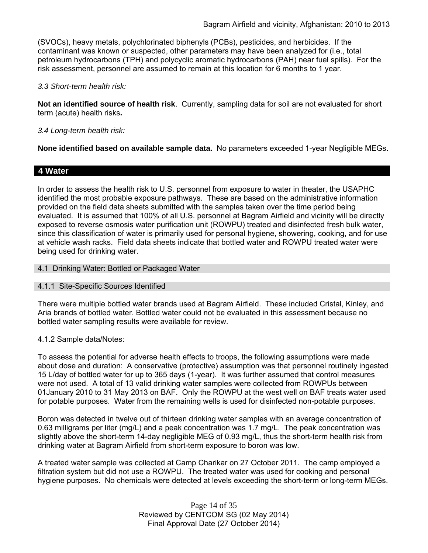(SVOCs), heavy metals, polychlorinated biphenyls (PCBs), pesticides, and herbicides. If the contaminant was known or suspected, other parameters may have been analyzed for (i.e., total petroleum hydrocarbons (TPH) and polycyclic aromatic hydrocarbons (PAH) near fuel spills). For the risk assessment, personnel are assumed to remain at this location for 6 months to 1 year.

#### *3.3 Short-term health risk:*

**Not an identified source of health risk**. Currently, sampling data for soil are not evaluated for short term (acute) health risks**.**

### *3.4 Long-term health risk:*

**None identified based on available sample data.** No parameters exceeded 1-year Negligible MEGs.

### **4 Water**

In order to assess the health risk to U.S. personnel from exposure to water in theater, the USAPHC identified the most probable exposure pathways. These are based on the administrative information provided on the field data sheets submitted with the samples taken over the time period being evaluated. It is assumed that 100% of all U.S. personnel at Bagram Airfield and vicinity will be directly exposed to reverse osmosis water purification unit (ROWPU) treated and disinfected fresh bulk water, since this classification of water is primarily used for personal hygiene, showering, cooking, and for use at vehicle wash racks. Field data sheets indicate that bottled water and ROWPU treated water were being used for drinking water.

4.1 Drinking Water: Bottled or Packaged Water

#### 4.1.1 Site-Specific Sources Identified

There were multiple bottled water brands used at Bagram Airfield. These included Cristal, Kinley, and Aria brands of bottled water. Bottled water could not be evaluated in this assessment because no bottled water sampling results were available for review.

#### 4.1.2 Sample data/Notes:

To assess the potential for adverse health effects to troops, the following assumptions were made about dose and duration: A conservative (protective) assumption was that personnel routinely ingested 15 L/day of bottled water for up to 365 days (1-year). It was further assumed that control measures were not used. A total of 13 valid drinking water samples were collected from ROWPUs between 01January 2010 to 31 May 2013 on BAF. Only the ROWPU at the west well on BAF treats water used for potable purposes. Water from the remaining wells is used for disinfected non-potable purposes.

Boron was detected in twelve out of thirteen drinking water samples with an average concentration of 0.63 milligrams per liter (mg/L) and a peak concentration was 1.7 mg/L. The peak concentration was slightly above the short-term 14-day negligible MEG of 0.93 mg/L, thus the short-term health risk from drinking water at Bagram Airfield from short-term exposure to boron was low.

A treated water sample was collected at Camp Charikar on 27 October 2011. The camp employed a filtration system but did not use a ROWPU. The treated water was used for cooking and personal hygiene purposes. No chemicals were detected at levels exceeding the short-term or long-term MEGs.

> Page 14 of 35 Reviewed by CENTCOM SG (02 May 2014) Final Approval Date (27 October 2014)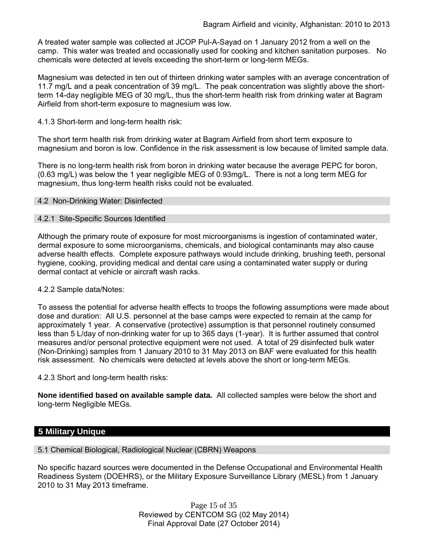A treated water sample was collected at JCOP Pul-A-Sayad on 1 January 2012 from a well on the camp. This water was treated and occasionally used for cooking and kitchen sanitation purposes. No chemicals were detected at levels exceeding the short-term or long-term MEGs.

Magnesium was detected in ten out of thirteen drinking water samples with an average concentration of 11.7 mg/L and a peak concentration of 39 mg/L. The peak concentration was slightly above the shortterm 14-day negligible MEG of 30 mg/L, thus the short-term health risk from drinking water at Bagram Airfield from short-term exposure to magnesium was low.

### 4.1.3 Short-term and long-term health risk:

The short term health risk from drinking water at Bagram Airfield from short term exposure to magnesium and boron is low. Confidence in the risk assessment is low because of limited sample data.

There is no long-term health risk from boron in drinking water because the average PEPC for boron, (0.63 mg/L) was below the 1 year negligible MEG of 0.93mg/L. There is not a long term MEG for magnesium, thus long-term health risks could not be evaluated.

#### 4.2 Non-Drinking Water: Disinfected

### 4.2.1 Site-Specific Sources Identified

Although the primary route of exposure for most microorganisms is ingestion of contaminated water, dermal exposure to some microorganisms, chemicals, and biological contaminants may also cause adverse health effects. Complete exposure pathways would include drinking, brushing teeth, personal hygiene, cooking, providing medical and dental care using a contaminated water supply or during dermal contact at vehicle or aircraft wash racks.

#### 4.2.2 Sample data/Notes:

To assess the potential for adverse health effects to troops the following assumptions were made about dose and duration: All U.S. personnel at the base camps were expected to remain at the camp for approximately 1 year. A conservative (protective) assumption is that personnel routinely consumed less than 5 L/day of non-drinking water for up to 365 days (1-year). It is further assumed that control measures and/or personal protective equipment were not used. A total of 29 disinfected bulk water (Non-Drinking) samples from 1 January 2010 to 31 May 2013 on BAF were evaluated for this health risk assessment. No chemicals were detected at levels above the short or long-term MEGs.

4.2.3 Short and long-term health risks:

**None identified based on available sample data.** All collected samples were below the short and long-term Negligible MEGs.

# **5 Military Unique**

5.1 Chemical Biological, Radiological Nuclear (CBRN) Weapons

No specific hazard sources were documented in the Defense Occupational and Environmental Health Readiness System (DOEHRS), or the Military Exposure Surveillance Library (MESL) from 1 January 2010 to 31 May 2013 timeframe.

> Page 15 of 35 Reviewed by CENTCOM SG (02 May 2014) Final Approval Date (27 October 2014)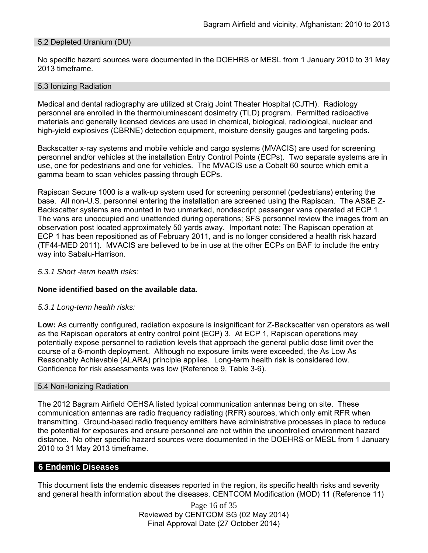### 5.2 Depleted Uranium (DU)

No specific hazard sources were documented in the DOEHRS or MESL from 1 January 2010 to 31 May 2013 timeframe.

#### 5.3 Ionizing Radiation

Medical and dental radiography are utilized at Craig Joint Theater Hospital (CJTH). Radiology personnel are enrolled in the thermoluminescent dosimetry (TLD) program. Permitted radioactive materials and generally licensed devices are used in chemical, biological, radiological, nuclear and high-yield explosives (CBRNE) detection equipment, moisture density gauges and targeting pods.

Backscatter x-ray systems and mobile vehicle and cargo systems (MVACIS) are used for screening personnel and/or vehicles at the installation Entry Control Points (ECPs). Two separate systems are in use, one for pedestrians and one for vehicles. The MVACIS use a Cobalt 60 source which emit a gamma beam to scan vehicles passing through ECPs.

Rapiscan Secure 1000 is a walk-up system used for screening personnel (pedestrians) entering the base. All non-U.S. personnel entering the installation are screened using the Rapiscan. The AS&E Z-Backscatter systems are mounted in two unmarked, nondescript passenger vans operated at ECP 1. The vans are unoccupied and unattended during operations; SFS personnel review the images from an observation post located approximately 50 yards away. Important note: The Rapiscan operation at ECP 1 has been repositioned as of February 2011, and is no longer considered a health risk hazard (TF44-MED 2011). MVACIS are believed to be in use at the other ECPs on BAF to include the entry way into Sabalu-Harrison.

#### *5.3.1 Short -term health risks:*

#### **None identified based on the available data.**

#### *5.3.1 Long-term health risks:*

**Low:** As currently configured, radiation exposure is insignificant for Z-Backscatter van operators as well as the Rapiscan operators at entry control point (ECP) 3. At ECP 1, Rapiscan operations may potentially expose personnel to radiation levels that approach the general public dose limit over the course of a 6-month deployment. Although no exposure limits were exceeded, the As Low As Reasonably Achievable (ALARA) principle applies. Long-term health risk is considered low. Confidence for risk assessments was low (Reference 9, Table 3-6).

#### 5.4 Non-Ionizing Radiation

The 2012 Bagram Airfield OEHSA listed typical communication antennas being on site. These communication antennas are radio frequency radiating (RFR) sources, which only emit RFR when transmitting. Ground-based radio frequency emitters have administrative processes in place to reduce the potential for exposures and ensure personnel are not within the uncontrolled environment hazard distance. No other specific hazard sources were documented in the DOEHRS or MESL from 1 January 2010 to 31 May 2013 timeframe.

#### **6 Endemic Diseases**

This document lists the endemic diseases reported in the region, its specific health risks and severity and general health information about the diseases. CENTCOM Modification (MOD) 11 (Reference 11)

> Page 16 of 35 Reviewed by CENTCOM SG (02 May 2014) Final Approval Date (27 October 2014)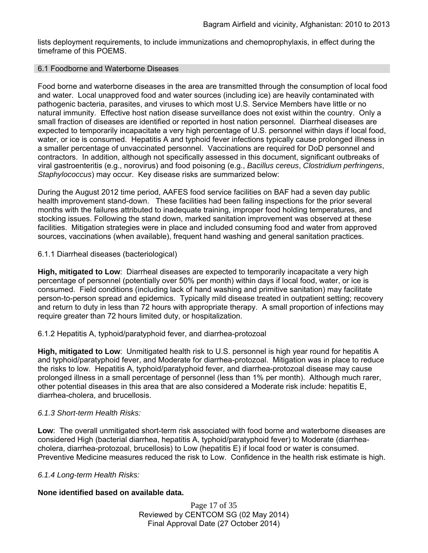lists deployment requirements, to include immunizations and chemoprophylaxis, in effect during the timeframe of this POEMS.

#### 6.1 Foodborne and Waterborne Diseases

Food borne and waterborne diseases in the area are transmitted through the consumption of local food and water. Local unapproved food and water sources (including ice) are heavily contaminated with pathogenic bacteria, parasites, and viruses to which most U.S. Service Members have little or no natural immunity. Effective host nation disease surveillance does not exist within the country. Only a small fraction of diseases are identified or reported in host nation personnel. Diarrheal diseases are expected to temporarily incapacitate a very high percentage of U.S. personnel within days if local food, water, or ice is consumed. Hepatitis A and typhoid fever infections typically cause prolonged illness in a smaller percentage of unvaccinated personnel. Vaccinations are required for DoD personnel and contractors. In addition, although not specifically assessed in this document, significant outbreaks of viral gastroenteritis (e.g., norovirus) and food poisoning (e.g., *Bacillus cereus*, *Clostridium perfringens*, *Staphylococcus*) may occur. Key disease risks are summarized below:

During the August 2012 time period, AAFES food service facilities on BAF had a seven day public health improvement stand-down. These facilities had been failing inspections for the prior several months with the failures attributed to inadequate training, improper food holding temperatures, and stocking issues. Following the stand down, marked sanitation improvement was observed at these facilities. Mitigation strategies were in place and included consuming food and water from approved sources, vaccinations (when available), frequent hand washing and general sanitation practices.

6.1.1 Diarrheal diseases (bacteriological)

**High, mitigated to Low**: Diarrheal diseases are expected to temporarily incapacitate a very high percentage of personnel (potentially over 50% per month) within days if local food, water, or ice is consumed. Field conditions (including lack of hand washing and primitive sanitation) may facilitate person-to-person spread and epidemics. Typically mild disease treated in outpatient setting; recovery and return to duty in less than 72 hours with appropriate therapy. A small proportion of infections may require greater than 72 hours limited duty, or hospitalization.

6.1.2 Hepatitis A, typhoid/paratyphoid fever, and diarrhea-protozoal

**High, mitigated to Low**: Unmitigated health risk to U.S. personnel is high year round for hepatitis A and typhoid/paratyphoid fever, and Moderate for diarrhea-protozoal. Mitigation was in place to reduce the risks to low. Hepatitis A, typhoid/paratyphoid fever, and diarrhea-protozoal disease may cause prolonged illness in a small percentage of personnel (less than 1% per month). Although much rarer, other potential diseases in this area that are also considered a Moderate risk include: hepatitis E, diarrhea-cholera, and brucellosis.

### *6.1.3 Short-term Health Risks:*

**Low**: The overall unmitigated short-term risk associated with food borne and waterborne diseases are considered High (bacterial diarrhea, hepatitis A, typhoid/paratyphoid fever) to Moderate (diarrheacholera, diarrhea-protozoal, brucellosis) to Low (hepatitis E) if local food or water is consumed. Preventive Medicine measures reduced the risk to Low. Confidence in the health risk estimate is high.

#### *6.1.4 Long-term Health Risks:*

### **None identified based on available data.**

Page 17 of 35 Reviewed by CENTCOM SG (02 May 2014) Final Approval Date (27 October 2014)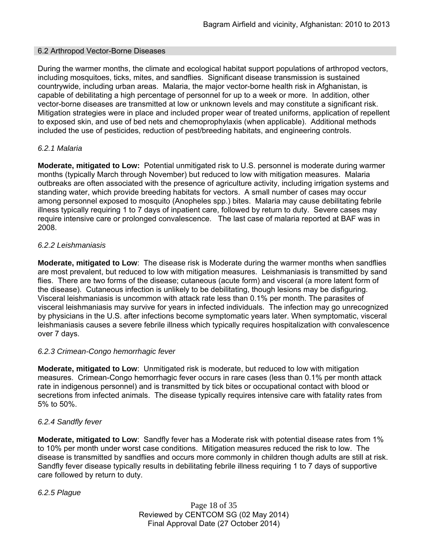#### 6.2 Arthropod Vector-Borne Diseases

During the warmer months, the climate and ecological habitat support populations of arthropod vectors, including mosquitoes, ticks, mites, and sandflies. Significant disease transmission is sustained countrywide, including urban areas. Malaria, the major vector-borne health risk in Afghanistan, is capable of debilitating a high percentage of personnel for up to a week or more. In addition, other vector-borne diseases are transmitted at low or unknown levels and may constitute a significant risk. Mitigation strategies were in place and included proper wear of treated uniforms, application of repellent to exposed skin, and use of bed nets and chemoprophylaxis (when applicable). Additional methods included the use of pesticides, reduction of pest/breeding habitats, and engineering controls.

### *6.2.1 Malaria*

**Moderate, mitigated to Low:** Potential unmitigated risk to U.S. personnel is moderate during warmer months (typically March through November) but reduced to low with mitigation measures. Malaria outbreaks are often associated with the presence of agriculture activity, including irrigation systems and standing water, which provide breeding habitats for vectors. A small number of cases may occur among personnel exposed to mosquito (Anopheles spp.) bites. Malaria may cause debilitating febrile illness typically requiring 1 to 7 days of inpatient care, followed by return to duty. Severe cases may require intensive care or prolonged convalescence. The last case of malaria reported at BAF was in 2008.

### *6.2.2 Leishmaniasis*

**Moderate, mitigated to Low**: The disease risk is Moderate during the warmer months when sandflies are most prevalent, but reduced to low with mitigation measures. Leishmaniasis is transmitted by sand flies. There are two forms of the disease; cutaneous (acute form) and visceral (a more latent form of the disease). Cutaneous infection is unlikely to be debilitating, though lesions may be disfiguring. Visceral leishmaniasis is uncommon with attack rate less than 0.1% per month. The parasites of visceral leishmaniasis may survive for years in infected individuals. The infection may go unrecognized by physicians in the U.S. after infections become symptomatic years later. When symptomatic, visceral leishmaniasis causes a severe febrile illness which typically requires hospitalization with convalescence over 7 days.

#### *6.2.3 Crimean-Congo hemorrhagic fever*

**Moderate, mitigated to Low**: Unmitigated risk is moderate, but reduced to low with mitigation measures. Crimean-Congo hemorrhagic fever occurs in rare cases (less than 0.1% per month attack rate in indigenous personnel) and is transmitted by tick bites or occupational contact with blood or secretions from infected animals. The disease typically requires intensive care with fatality rates from 5% to 50%.

### *6.2.4 Sandfly fever*

**Moderate, mitigated to Low**: Sandfly fever has a Moderate risk with potential disease rates from 1% to 10% per month under worst case conditions. Mitigation measures reduced the risk to low. The disease is transmitted by sandflies and occurs more commonly in children though adults are still at risk. Sandfly fever disease typically results in debilitating febrile illness requiring 1 to 7 days of supportive care followed by return to duty.

*6.2.5 Plague*

Page 18 of 35 Reviewed by CENTCOM SG (02 May 2014) Final Approval Date (27 October 2014)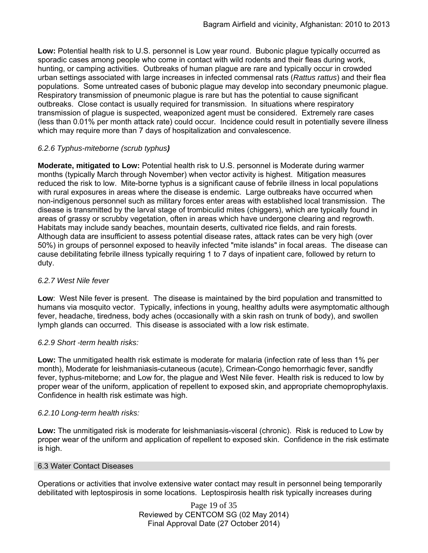**Low:** Potential health risk to U.S. personnel is Low year round. Bubonic plague typically occurred as sporadic cases among people who come in contact with wild rodents and their fleas during work, hunting, or camping activities. Outbreaks of human plague are rare and typically occur in crowded urban settings associated with large increases in infected commensal rats (*Rattus rattus*) and their flea populations. Some untreated cases of bubonic plague may develop into secondary pneumonic plague. Respiratory transmission of pneumonic plague is rare but has the potential to cause significant outbreaks. Close contact is usually required for transmission. In situations where respiratory transmission of plague is suspected, weaponized agent must be considered. Extremely rare cases (less than 0.01% per month attack rate) could occur. Incidence could result in potentially severe illness which may require more than 7 days of hospitalization and convalescence.

### *6.2.6 Typhus-miteborne (scrub typhus)*

**Moderate, mitigated to Low:** Potential health risk to U.S. personnel is Moderate during warmer months (typically March through November) when vector activity is highest. Mitigation measures reduced the risk to low. Mite-borne typhus is a significant cause of febrile illness in local populations with rural exposures in areas where the disease is endemic. Large outbreaks have occurred when non-indigenous personnel such as military forces enter areas with established local transmission. The disease is transmitted by the larval stage of trombiculid mites (chiggers), which are typically found in areas of grassy or scrubby vegetation, often in areas which have undergone clearing and regrowth. Habitats may include sandy beaches, mountain deserts, cultivated rice fields, and rain forests. Although data are insufficient to assess potential disease rates, attack rates can be very high (over 50%) in groups of personnel exposed to heavily infected "mite islands" in focal areas. The disease can cause debilitating febrile illness typically requiring 1 to 7 days of inpatient care, followed by return to duty.

### *6.2.7 West Nile fever*

**Low**: West Nile fever is present. The disease is maintained by the bird population and transmitted to humans via mosquito vector. Typically, infections in young, healthy adults were asymptomatic although fever, headache, tiredness, body aches (occasionally with a skin rash on trunk of body), and swollen lymph glands can occurred. This disease is associated with a low risk estimate.

### *6.2.9 Short -term health risks:*

**Low:** The unmitigated health risk estimate is moderate for malaria (infection rate of less than 1% per month), Moderate for leishmaniasis-cutaneous (acute), Crimean-Congo hemorrhagic fever, sandfly fever, typhus-miteborne; and Low for, the plague and West Nile fever. Health risk is reduced to low by proper wear of the uniform, application of repellent to exposed skin, and appropriate chemoprophylaxis. Confidence in health risk estimate was high.

### *6.2.10 Long-term health risks:*

**Low:** The unmitigated risk is moderate for leishmaniasis-visceral (chronic). Risk is reduced to Low by proper wear of the uniform and application of repellent to exposed skin. Confidence in the risk estimate is high.

#### 6.3 Water Contact Diseases

Operations or activities that involve extensive water contact may result in personnel being temporarily debilitated with leptospirosis in some locations. Leptospirosis health risk typically increases during

> Page 19 of 35 Reviewed by CENTCOM SG (02 May 2014) Final Approval Date (27 October 2014)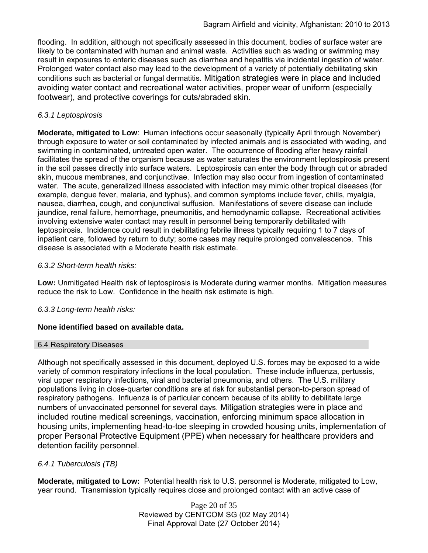flooding. In addition, although not specifically assessed in this document, bodies of surface water are likely to be contaminated with human and animal waste. Activities such as wading or swimming may result in exposures to enteric diseases such as diarrhea and hepatitis via incidental ingestion of water. Prolonged water contact also may lead to the development of a variety of potentially debilitating skin conditions such as bacterial or fungal dermatitis. Mitigation strategies were in place and included avoiding water contact and recreational water activities, proper wear of uniform (especially footwear), and protective coverings for cuts/abraded skin.

### *6.3.1 Leptospirosis*

**Moderate, mitigated to Low**: Human infections occur seasonally (typically April through November) through exposure to water or soil contaminated by infected animals and is associated with wading, and swimming in contaminated, untreated open water. The occurrence of flooding after heavy rainfall facilitates the spread of the organism because as water saturates the environment leptospirosis present in the soil passes directly into surface waters. Leptospirosis can enter the body through cut or abraded skin, mucous membranes, and conjunctivae. Infection may also occur from ingestion of contaminated water. The acute, generalized illness associated with infection may mimic other tropical diseases (for example, dengue fever, malaria, and typhus), and common symptoms include fever, chills, myalgia, nausea, diarrhea, cough, and conjunctival suffusion. Manifestations of severe disease can include jaundice, renal failure, hemorrhage, pneumonitis, and hemodynamic collapse. Recreational activities involving extensive water contact may result in personnel being temporarily debilitated with leptospirosis. Incidence could result in debilitating febrile illness typically requiring 1 to 7 days of inpatient care, followed by return to duty; some cases may require prolonged convalescence. This disease is associated with a Moderate health risk estimate.

### *6.3.2 Short-term health risks:*

**Low:** Unmitigated Health risk of leptospirosis is Moderate during warmer months. Mitigation measures reduce the risk to Low. Confidence in the health risk estimate is high.

### *6.3.3 Long-term health risks:*

### **None identified based on available data.**

#### 6.4 Respiratory Diseases

Although not specifically assessed in this document, deployed U.S. forces may be exposed to a wide variety of common respiratory infections in the local population. These include influenza, pertussis, viral upper respiratory infections, viral and bacterial pneumonia, and others. The U.S. military populations living in close-quarter conditions are at risk for substantial person-to-person spread of respiratory pathogens. Influenza is of particular concern because of its ability to debilitate large numbers of unvaccinated personnel for several days. Mitigation strategies were in place and included routine medical screenings, vaccination, enforcing minimum space allocation in housing units, implementing head-to-toe sleeping in crowded housing units, implementation of proper Personal Protective Equipment (PPE) when necessary for healthcare providers and detention facility personnel.

### *6.4.1 Tuberculosis (TB)*

**Moderate, mitigated to Low:** Potential health risk to U.S. personnel is Moderate, mitigated to Low, year round. Transmission typically requires close and prolonged contact with an active case of

> Page 20 of 35 Reviewed by CENTCOM SG (02 May 2014) Final Approval Date (27 October 2014)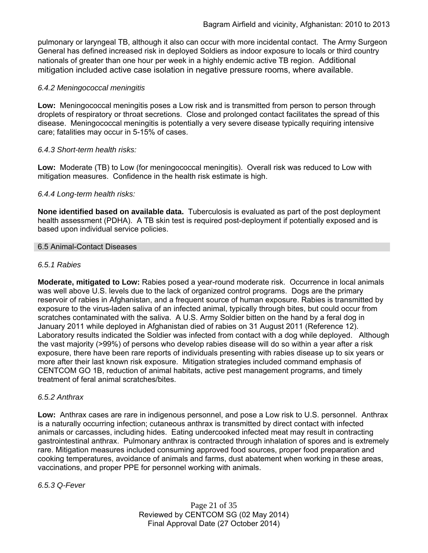pulmonary or laryngeal TB, although it also can occur with more incidental contact. The Army Surgeon General has defined increased risk in deployed Soldiers as indoor exposure to locals or third country nationals of greater than one hour per week in a highly endemic active TB region. Additional mitigation included active case isolation in negative pressure rooms, where available.

### *6.4.2 Meningococcal meningitis*

**Low:** Meningococcal meningitis poses a Low risk and is transmitted from person to person through droplets of respiratory or throat secretions. Close and prolonged contact facilitates the spread of this disease. Meningococcal meningitis is potentially a very severe disease typically requiring intensive care; fatalities may occur in 5-15% of cases.

### *6.4.3 Short-term health risks:*

**Low:** Moderate (TB) to Low (for meningococcal meningitis). Overall risk was reduced to Low with mitigation measures. Confidence in the health risk estimate is high.

### *6.4.4 Long-term health risks:*

**None identified based on available data.** Tuberculosis is evaluated as part of the post deployment health assessment (PDHA). A TB skin test is required post-deployment if potentially exposed and is based upon individual service policies.

#### 6.5 Animal-Contact Diseases

### *6.5.1 Rabies*

**Moderate, mitigated to Low:** Rabies posed a year-round moderate risk. Occurrence in local animals was well above U.S. levels due to the lack of organized control programs. Dogs are the primary reservoir of rabies in Afghanistan, and a frequent source of human exposure. Rabies is transmitted by exposure to the virus-laden saliva of an infected animal, typically through bites, but could occur from scratches contaminated with the saliva. A U.S. Army Soldier bitten on the hand by a feral dog in January 2011 while deployed in Afghanistan died of rabies on 31 August 2011 (Reference 12). Laboratory results indicated the Soldier was infected from contact with a dog while deployed. Although the vast majority (>99%) of persons who develop rabies disease will do so within a year after a risk exposure, there have been rare reports of individuals presenting with rabies disease up to six years or more after their last known risk exposure. Mitigation strategies included command emphasis of CENTCOM GO 1B, reduction of animal habitats, active pest management programs, and timely treatment of feral animal scratches/bites.

#### *6.5.2 Anthrax*

**Low:** Anthrax cases are rare in indigenous personnel, and pose a Low risk to U.S. personnel. Anthrax is a naturally occurring infection; cutaneous anthrax is transmitted by direct contact with infected animals or carcasses, including hides. Eating undercooked infected meat may result in contracting gastrointestinal anthrax. Pulmonary anthrax is contracted through inhalation of spores and is extremely rare. Mitigation measures included consuming approved food sources, proper food preparation and cooking temperatures, avoidance of animals and farms, dust abatement when working in these areas, vaccinations, and proper PPE for personnel working with animals.

*6.5.3 Q-Fever*

Page 21 of 35 Reviewed by CENTCOM SG (02 May 2014) Final Approval Date (27 October 2014)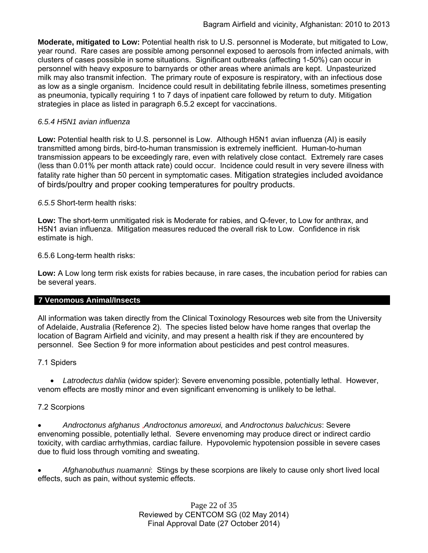**Moderate, mitigated to Low:** Potential health risk to U.S. personnel is Moderate, but mitigated to Low, year round. Rare cases are possible among personnel exposed to aerosols from infected animals, with clusters of cases possible in some situations. Significant outbreaks (affecting 1-50%) can occur in personnel with heavy exposure to barnyards or other areas where animals are kept. Unpasteurized milk may also transmit infection. The primary route of exposure is respiratory, with an infectious dose as low as a single organism. Incidence could result in debilitating febrile illness, sometimes presenting as pneumonia, typically requiring 1 to 7 days of inpatient care followed by return to duty. Mitigation strategies in place as listed in paragraph 6.5.2 except for vaccinations.

### *6.5.4 H5N1 avian influenza*

**Low:** Potential health risk to U.S. personnel is Low. Although H5N1 avian influenza (AI) is easily transmitted among birds, bird-to-human transmission is extremely inefficient. Human-to-human transmission appears to be exceedingly rare, even with relatively close contact. Extremely rare cases (less than 0.01% per month attack rate) could occur. Incidence could result in very severe illness with fatality rate higher than 50 percent in symptomatic cases. Mitigation strategies included avoidance of birds/poultry and proper cooking temperatures for poultry products.

*6.5.5* Short-term health risks:

**Low:** The short-term unmitigated risk is Moderate for rabies, and Q-fever, to Low for anthrax, and H5N1 avian influenza. Mitigation measures reduced the overall risk to Low.Confidence in risk estimate is high.

6.5.6 Long-term health risks:

**Low:** A Low long term risk exists for rabies because, in rare cases, the incubation period for rabies can be several years.

#### **7 Venomous Animal/Insects**

All information was taken directly from the Clinical Toxinology Resources web site from the University of Adelaide, Australia (Reference 2). The species listed below have home ranges that overlap the location of Bagram Airfield and vicinity, and may present a health risk if they are encountered by personnel. See Section 9 for more information about pesticides and pest control measures.

#### 7.1 Spiders

 *Latrodectus dahlia* (widow spider): Severe envenoming possible, potentially lethal. However, venom effects are mostly minor and even significant envenoming is unlikely to be lethal.

### 7.2 Scorpions

 *Androctonus afghanus* ,*Androctonus amoreuxi,* and *Androctonus baluchicus*: Severe envenoming possible, potentially lethal. Severe envenoming may produce direct or indirect cardio toxicity, with cardiac arrhythmias, cardiac failure. Hypovolemic hypotension possible in severe cases due to fluid loss through vomiting and sweating.

 *Afghanobuthus nuamanni*: Stings by these scorpions are likely to cause only short lived local effects, such as pain, without systemic effects.

> Page 22 of 35 Reviewed by CENTCOM SG (02 May 2014) Final Approval Date (27 October 2014)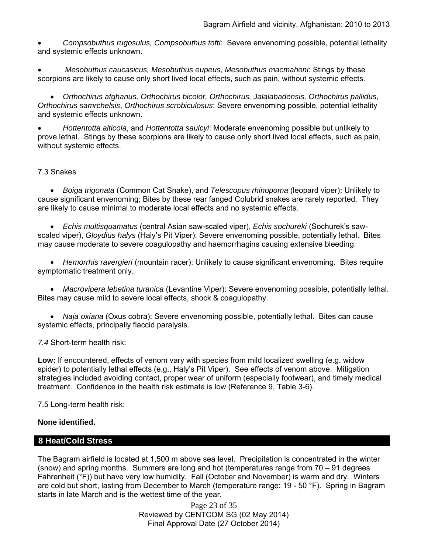*Compsobuthus rugosulus, Compsobuthus tofti*: Severe envenoming possible, potential lethality and systemic effects unknown.

 *Mesobuthus caucasicus, Mesobuthus eupeus, Mesobuthus macmahoni*: Stings by these scorpions are likely to cause only short lived local effects, such as pain, without systemic effects.

 *Orthochirus afghanus, Orthochirus bicolor, Orthochirus. Jalalabadensis, Orthochirus pallidus, Orthochirus samrchelsis*, *Orthochirus scrobiculosus*: Severe envenoming possible, potential lethality and systemic effects unknown.

 *Hottentotta alticola*, and *Hottentotta saulcyi*: Moderate envenoming possible but unlikely to prove lethal. Stings by these scorpions are likely to cause only short lived local effects, such as pain, without systemic effects.

### 7.3 Snakes

 *Boiga trigonata* (Common Cat Snake), and *Telescopus rhinopoma* (leopard viper): Unlikely to cause significant envenoming; Bites by these rear fanged Colubrid snakes are rarely reported. They are likely to cause minimal to moderate local effects and no systemic effects.

 *Echis multisquamatus* (central Asian saw-scaled viper), *Echis sochureki* (Sochurek's sawscaled viper), *Gloydius halys* (Haly's Pit Viper): Severe envenoming possible, potentially lethal. Bites may cause moderate to severe coagulopathy and haemorrhagins causing extensive bleeding.

 *Hemorrhis ravergieri* (mountain racer): Unlikely to cause significant envenoming. Bites require symptomatic treatment only.

 *Macrovipera lebetina turanica* (Levantine Viper): Severe envenoming possible, potentially lethal. Bites may cause mild to severe local effects, shock & coagulopathy.

 *Naja oxiana* (Oxus cobra): Severe envenoming possible, potentially lethal. Bites can cause systemic effects, principally flaccid paralysis.

#### *7.4* Short-term health risk:

**Low:** If encountered, effects of venom vary with species from mild localized swelling (e.g. widow spider) to potentially lethal effects (e.g., Haly's Pit Viper). See effects of venom above. Mitigation strategies included avoiding contact, proper wear of uniform (especially footwear), and timely medical treatment. Confidence in the health risk estimate is low (Reference 9, Table 3-6).

7.5 Long-term health risk:

#### **None identified.**

### **8 Heat/Cold Stress**

The Bagram airfield is located at 1,500 m above sea level. Precipitation is concentrated in the winter (snow) and spring months. Summers are long and hot (temperatures range from 70 – 91 degrees Fahrenheit (°F)) but have very low humidity. Fall (October and November) is warm and dry. Winters are cold but short, lasting from December to March (temperature range: 19 - 50 °F). Spring in Bagram starts in late March and is the wettest time of the year.

> Page 23 of 35 Reviewed by CENTCOM SG (02 May 2014) Final Approval Date (27 October 2014)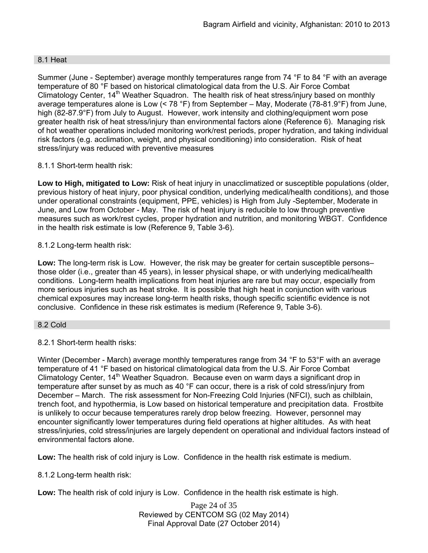### 8.1 Heat

Summer (June - September) average monthly temperatures range from 74 °F to 84 °F with an average temperature of 80 °F based on historical climatological data from the U.S. Air Force Combat Climatology Center, 14<sup>th</sup> Weather Squadron. The health risk of heat stress/injury based on monthly average temperatures alone is Low (< 78 °F) from September – May, Moderate (78-81.9°F) from June, high (82-87.9°F) from July to August. However, work intensity and clothing/equipment worn pose greater health risk of heat stress/injury than environmental factors alone (Reference 6). Managing risk of hot weather operations included monitoring work/rest periods, proper hydration, and taking individual risk factors (e.g. acclimation, weight, and physical conditioning) into consideration. Risk of heat stress/injury was reduced with preventive measures

### 8.1.1 Short-term health risk:

**Low to High, mitigated to Low:** Risk of heat injury in unacclimatized or susceptible populations (older, previous history of heat injury, poor physical condition, underlying medical/health conditions), and those under operational constraints (equipment, PPE, vehicles) is High from July -September, Moderate in June, and Low from October - May. The risk of heat injury is reducible to low through preventive measures such as work/rest cycles, proper hydration and nutrition, and monitoring WBGT. Confidence in the health risk estimate is low (Reference 9, Table 3-6).

### 8.1.2 Long-term health risk:

**Low:** The long-term risk is Low. However, the risk may be greater for certain susceptible persons– those older (i.e., greater than 45 years), in lesser physical shape, or with underlying medical/health conditions. Long-term health implications from heat injuries are rare but may occur, especially from more serious injuries such as heat stroke. It is possible that high heat in conjunction with various chemical exposures may increase long-term health risks, though specific scientific evidence is not conclusive. Confidence in these risk estimates is medium (Reference 9, Table 3-6).

#### 8.2 Cold

### 8.2.1 Short-term health risks:

Winter (December - March) average monthly temperatures range from 34 °F to 53°F with an average temperature of 41 °F based on historical climatological data from the U.S. Air Force Combat Climatology Center, 14<sup>th</sup> Weather Squadron. Because even on warm days a significant drop in temperature after sunset by as much as 40 °F can occur, there is a risk of cold stress/injury from December – March. The risk assessment for Non-Freezing Cold Injuries (NFCI), such as chilblain, trench foot, and hypothermia, is Low based on historical temperature and precipitation data. Frostbite is unlikely to occur because temperatures rarely drop below freezing. However, personnel may encounter significantly lower temperatures during field operations at higher altitudes. As with heat stress/injuries, cold stress/injuries are largely dependent on operational and individual factors instead of environmental factors alone.

**Low:** The health risk of cold injury is Low. Confidence in the health risk estimate is medium.

8.1.2 Long-term health risk:

**Low:** The health risk of cold injury is Low. Confidence in the health risk estimate is high.

Page 24 of 35 Reviewed by CENTCOM SG (02 May 2014) Final Approval Date (27 October 2014)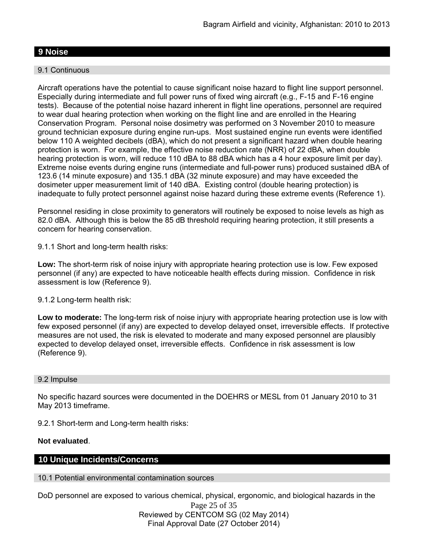### **9 Noise**

#### 9.1 Continuous

Aircraft operations have the potential to cause significant noise hazard to flight line support personnel. Especially during intermediate and full power runs of fixed wing aircraft (e.g., F-15 and F-16 engine tests). Because of the potential noise hazard inherent in flight line operations, personnel are required to wear dual hearing protection when working on the flight line and are enrolled in the Hearing Conservation Program. Personal noise dosimetry was performed on 3 November 2010 to measure ground technician exposure during engine run-ups. Most sustained engine run events were identified below 110 A weighted decibels (dBA), which do not present a significant hazard when double hearing protection is worn. For example, the effective noise reduction rate (NRR) of 22 dBA, when double hearing protection is worn, will reduce 110 dBA to 88 dBA which has a 4 hour exposure limit per day). Extreme noise events during engine runs (intermediate and full-power runs) produced sustained dBA of 123.6 (14 minute exposure) and 135.1 dBA (32 minute exposure) and may have exceeded the dosimeter upper measurement limit of 140 dBA. Existing control (double hearing protection) is inadequate to fully protect personnel against noise hazard during these extreme events (Reference 1).

Personnel residing in close proximity to generators will routinely be exposed to noise levels as high as 82.0 dBA. Although this is below the 85 dB threshold requiring hearing protection, it still presents a concern for hearing conservation.

9.1.1 Short and long-term health risks:

**Low:** The short-term risk of noise injury with appropriate hearing protection use is low. Few exposed personnel (if any) are expected to have noticeable health effects during mission. Confidence in risk assessment is low (Reference 9).

#### 9.1.2 Long-term health risk:

**Low to moderate:** The long-term risk of noise injury with appropriate hearing protection use is low with few exposed personnel (if any) are expected to develop delayed onset, irreversible effects. If protective measures are not used, the risk is elevated to moderate and many exposed personnel are plausibly expected to develop delayed onset, irreversible effects. Confidence in risk assessment is low (Reference 9).

#### 9.2 Impulse

No specific hazard sources were documented in the DOEHRS or MESL from 01 January 2010 to 31 May 2013 timeframe.

9.2.1 Short-term and Long-term health risks:

#### **Not evaluated**.

#### **10 Unique Incidents/Concerns**

10.1 Potential environmental contamination sources

DoD personnel are exposed to various chemical, physical, ergonomic, and biological hazards in the

Page 25 of 35 Reviewed by CENTCOM SG (02 May 2014) Final Approval Date (27 October 2014)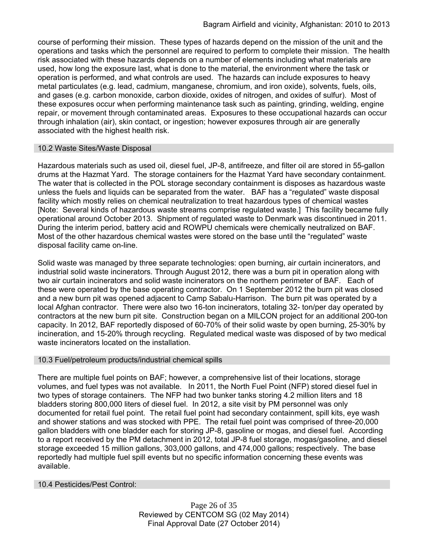course of performing their mission. These types of hazards depend on the mission of the unit and the operations and tasks which the personnel are required to perform to complete their mission. The health risk associated with these hazards depends on a number of elements including what materials are used, how long the exposure last, what is done to the material, the environment where the task or operation is performed, and what controls are used. The hazards can include exposures to heavy metal particulates (e.g. lead, cadmium, manganese, chromium, and iron oxide), solvents, fuels, oils, and gases (e.g. carbon monoxide, carbon dioxide, oxides of nitrogen, and oxides of sulfur). Most of these exposures occur when performing maintenance task such as painting, grinding, welding, engine repair, or movement through contaminated areas. Exposures to these occupational hazards can occur through inhalation (air), skin contact, or ingestion; however exposures through air are generally associated with the highest health risk.

#### 10.2 Waste Sites/Waste Disposal

Hazardous materials such as used oil, diesel fuel, JP-8, antifreeze, and filter oil are stored in 55-gallon drums at the Hazmat Yard. The storage containers for the Hazmat Yard have secondary containment. The water that is collected in the POL storage secondary containment is disposes as hazardous waste unless the fuels and liquids can be separated from the water. BAF has a "regulated" waste disposal facility which mostly relies on chemical neutralization to treat hazardous types of chemical wastes [Note: Several kinds of hazardous waste streams comprise regulated waste.] This facility became fully operational around October 2013. Shipment of regulated waste to Denmark was discontinued in 2011. During the interim period, battery acid and ROWPU chemicals were chemically neutralized on BAF. Most of the other hazardous chemical wastes were stored on the base until the "regulated" waste disposal facility came on-line.

Solid waste was managed by three separate technologies: open burning, air curtain incinerators, and industrial solid waste incinerators. Through August 2012, there was a burn pit in operation along with two air curtain incinerators and solid waste incinerators on the northern perimeter of BAF. Each of these were operated by the base operating contractor. On 1 September 2012 the burn pit was closed and a new burn pit was opened adjacent to Camp Sabalu-Harrison. The burn pit was operated by a local Afghan contractor. There were also two 16-ton incinerators, totaling 32- ton/per day operated by contractors at the new burn pit site. Construction began on a MILCON project for an additional 200-ton capacity. In 2012, BAF reportedly disposed of 60-70% of their solid waste by open burning, 25-30% by incineration, and 15-20% through recycling. Regulated medical waste was disposed of by two medical waste incinerators located on the installation.

### 10.3 Fuel/petroleum products/industrial chemical spills

There are multiple fuel points on BAF; however, a comprehensive list of their locations, storage volumes, and fuel types was not available. In 2011, the North Fuel Point (NFP) stored diesel fuel in two types of storage containers. The NFP had two bunker tanks storing 4.2 million liters and 18 bladders storing 800,000 liters of diesel fuel. In 2012, a site visit by PM personnel was only documented for retail fuel point. The retail fuel point had secondary containment, spill kits, eye wash and shower stations and was stocked with PPE. The retail fuel point was comprised of three-20,000 gallon bladders with one bladder each for storing JP-8, gasoline or mogas, and diesel fuel. According to a report received by the PM detachment in 2012, total JP-8 fuel storage, mogas/gasoline, and diesel storage exceeded 15 million gallons, 303,000 gallons, and 474,000 gallons; respectively. The base reportedly had multiple fuel spill events but no specific information concerning these events was available.

#### 10.4 Pesticides/Pest Control:

Page 26 of 35 Reviewed by CENTCOM SG (02 May 2014) Final Approval Date (27 October 2014)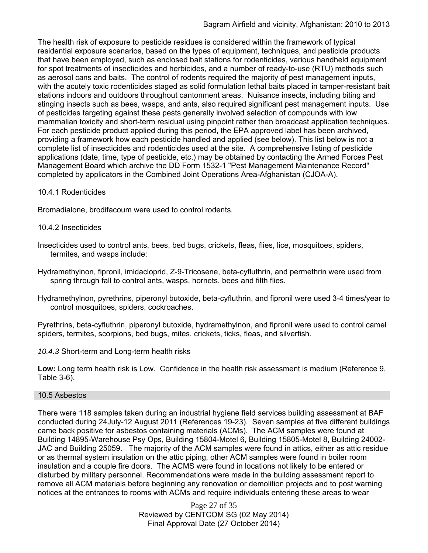The health risk of exposure to pesticide residues is considered within the framework of typical residential exposure scenarios, based on the types of equipment, techniques, and pesticide products that have been employed, such as enclosed bait stations for rodenticides, various handheld equipment for spot treatments of insecticides and herbicides, and a number of ready-to-use (RTU) methods such as aerosol cans and baits. The control of rodents required the majority of pest management inputs, with the acutely toxic rodenticides staged as solid formulation lethal baits placed in tamper-resistant bait stations indoors and outdoors throughout cantonment areas. Nuisance insects, including biting and stinging insects such as bees, wasps, and ants, also required significant pest management inputs. Use of pesticides targeting against these pests generally involved selection of compounds with low mammalian toxicity and short-term residual using pinpoint rather than broadcast application techniques. For each pesticide product applied during this period, the EPA approved label has been archived, providing a framework how each pesticide handled and applied (see below). This list below is not a complete list of insecticides and rodenticides used at the site. A comprehensive listing of pesticide applications (date, time, type of pesticide, etc.) may be obtained by contacting the Armed Forces Pest Management Board which archive the DD Form 1532-1 "Pest Management Maintenance Record" completed by applicators in the Combined Joint Operations Area-Afghanistan (CJOA-A).

### 10.4.1 Rodenticides

Bromadialone, brodifacoum were used to control rodents.

### 10.4.2 Insecticides

- Insecticides used to control ants, bees, bed bugs, crickets, fleas, flies, lice, mosquitoes, spiders, termites, and wasps include:
- Hydramethylnon, fipronil, imidacloprid, Z-9-Tricosene, beta-cyfluthrin, and permethrin were used from spring through fall to control ants, wasps, hornets, bees and filth flies.
- Hydramethylnon, pyrethrins, piperonyl butoxide, beta-cyfluthrin, and fipronil were used 3-4 times/year to control mosquitoes, spiders, cockroaches.

Pyrethrins, beta-cyfluthrin, piperonyl butoxide, hydramethylnon, and fipronil were used to control camel spiders, termites, scorpions, bed bugs, mites, crickets, ticks, fleas, and silverfish.

*10.4.3* Short-term and Long-term health risks

**Low:** Long term health risk is Low. Confidence in the health risk assessment is medium (Reference 9, Table 3-6).

#### 10.5 Asbestos

There were 118 samples taken during an industrial hygiene field services building assessment at BAF conducted during 24July-12 August 2011 (References 19-23). Seven samples at five different buildings came back positive for asbestos containing materials (ACMs). The ACM samples were found at Building 14895-Warehouse Psy Ops, Building 15804-Motel 6, Building 15805-Motel 8, Building 24002- JAC and Building 25059. The majority of the ACM samples were found in attics, either as attic residue or as thermal system insulation on the attic piping, other ACM samples were found in boiler room insulation and a couple fire doors. The ACMS were found in locations not likely to be entered or disturbed by military personnel. Recommendations were made in the building assessment report to remove all ACM materials before beginning any renovation or demolition projects and to post warning notices at the entrances to rooms with ACMs and require individuals entering these areas to wear

> Page 27 of 35 Reviewed by CENTCOM SG (02 May 2014) Final Approval Date (27 October 2014)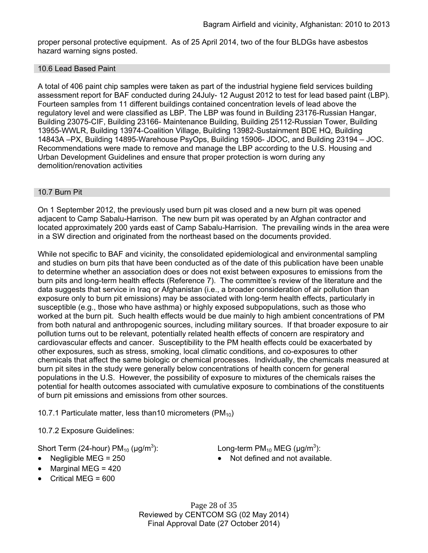proper personal protective equipment. As of 25 April 2014, two of the four BLDGs have asbestos hazard warning signs posted.

#### 10.6 Lead Based Paint

A total of 406 paint chip samples were taken as part of the industrial hygiene field services building assessment report for BAF conducted during 24July- 12 August 2012 to test for lead based paint (LBP). Fourteen samples from 11 different buildings contained concentration levels of lead above the regulatory level and were classified as LBP. The LBP was found in Building 23176-Russian Hangar, Building 23075-CIF, Building 23166- Maintenance Building, Building 25112-Russian Tower, Building 13955-WWLR, Building 13974-Coalition Village, Building 13982-Sustainment BDE HQ, Building 14843A –PX, Building 14895-Warehouse PsyOps, Building 15906- JDOC, and Building 23194 – JOC. Recommendations were made to remove and manage the LBP according to the U.S. Housing and Urban Development Guidelines and ensure that proper protection is worn during any demolition/renovation activities

#### 10.7 Burn Pit

On 1 September 2012, the previously used burn pit was closed and a new burn pit was opened adjacent to Camp Sabalu-Harrison. The new burn pit was operated by an Afghan contractor and located approximately 200 yards east of Camp Sabalu-Harrision. The prevailing winds in the area were in a SW direction and originated from the northeast based on the documents provided.

While not specific to BAF and vicinity, the consolidated epidemiological and environmental sampling and studies on burn pits that have been conducted as of the date of this publication have been unable to determine whether an association does or does not exist between exposures to emissions from the burn pits and long-term health effects (Reference 7). The committee's review of the literature and the data suggests that service in Iraq or Afghanistan (i.e., a broader consideration of air pollution than exposure only to burn pit emissions) may be associated with long-term health effects, particularly in susceptible (e.g., those who have asthma) or highly exposed subpopulations, such as those who worked at the burn pit. Such health effects would be due mainly to high ambient concentrations of PM from both natural and anthropogenic sources, including military sources. If that broader exposure to air pollution turns out to be relevant, potentially related health effects of concern are respiratory and cardiovascular effects and cancer. Susceptibility to the PM health effects could be exacerbated by other exposures, such as stress, smoking, local climatic conditions, and co-exposures to other chemicals that affect the same biologic or chemical processes. Individually, the chemicals measured at burn pit sites in the study were generally below concentrations of health concern for general populations in the U.S. However, the possibility of exposure to mixtures of the chemicals raises the potential for health outcomes associated with cumulative exposure to combinations of the constituents of burn pit emissions and emissions from other sources.

10.7.1 Particulate matter, less than 10 micrometers (PM $_{10}$ )

10.7.2 Exposure Guidelines:

Short Term (24-hour)  $PM_{10}$  ( $\mu$ g/m<sup>3</sup>):

- 
- Marginal MEG = 420
- Critical MEG = 600

): Long-term  $PM_{10}$  MEG ( $\mu$ g/m<sup>3</sup>):

• Negligible MEG = 250 **In the Second August** 10 Not defined and not available.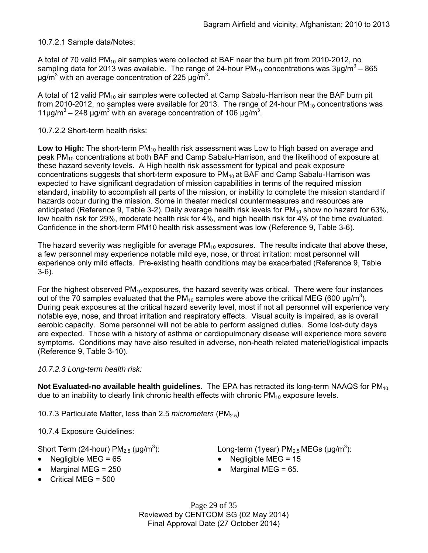10.7.2.1 Sample data/Notes:

A total of 70 valid PM<sub>10</sub> air samples were collected at BAF near the burn pit from 2010-2012, no sampling data for 2013 was available. The range of 24-hour PM<sub>10</sub> concentrations was 3µg/m<sup>3</sup> – 865 μg/m<sup>3</sup> with an average concentration of 225 μg/m<sup>3</sup>.

A total of 12 valid PM<sub>10</sub> air samples were collected at Camp Sabalu-Harrison near the BAF burn pit from 2010-2012, no samples were available for 2013. The range of 24-hour  $PM_{10}$  concentrations was 11μg/m<sup>3</sup> – 248 μg/m<sup>3</sup> with an average concentration of 106 μg/m<sup>3</sup>.

### 10.7.2.2 Short-term health risks:

Low to High: The short-term PM<sub>10</sub> health risk assessment was Low to High based on average and peak PM<sub>10</sub> concentrations at both BAF and Camp Sabalu-Harrison, and the likelihood of exposure at these hazard severity levels. A High health risk assessment for typical and peak exposure concentrations suggests that short-term exposure to  $PM_{10}$  at BAF and Camp Sabalu-Harrison was expected to have significant degradation of mission capabilities in terms of the required mission standard, inability to accomplish all parts of the mission, or inability to complete the mission standard if hazards occur during the mission. Some in theater medical countermeasures and resources are anticipated (Reference 9, Table 3-2). Daily average health risk levels for  $PM_{10}$  show no hazard for 63%, low health risk for 29%, moderate health risk for 4%, and high health risk for 4% of the time evaluated. Confidence in the short-term PM10 health risk assessment was low (Reference 9, Table 3-6).

The hazard severity was negligible for average  $PM_{10}$  exposures. The results indicate that above these, a few personnel may experience notable mild eye, nose, or throat irritation: most personnel will experience only mild effects. Pre-existing health conditions may be exacerbated (Reference 9, Table 3-6).

For the highest observed  $PM_{10}$  exposures, the hazard severity was critical. There were four instances out of the 70 samples evaluated that the PM<sub>10</sub> samples were above the critical MEG (600 µg/m<sup>3</sup>). During peak exposures at the critical hazard severity level, most if not all personnel will experience very notable eye, nose, and throat irritation and respiratory effects. Visual acuity is impaired, as is overall aerobic capacity. Some personnel will not be able to perform assigned duties. Some lost-duty days are expected. Those with a history of asthma or cardiopulmonary disease will experience more severe symptoms. Conditions may have also resulted in adverse, non-heath related materiel/logistical impacts (Reference 9, Table 3-10).

#### *10.7.2.3 Long-term health risk:*

**Not Evaluated-no available health quidelines**. The EPA has retracted its long-term NAAQS for PM<sub>10</sub> due to an inability to clearly link chronic health effects with chronic  $PM_{10}$  exposure levels.

10.7.3 Particulate Matter, less than 2.5 *micrometers* (PM2.5)

10.7.4 Exposure Guidelines:

Short Term (24-hour)  $PM_{2.5}$  ( $\mu$ g/m<sup>3</sup>):

- Negligible MEG = 65 Negligible MEG = 15
- $\bullet$  Marginal MEG = 250  $\bullet$  Marginal MEG = 65.
- Critical MEG = 500

): Long-term (1year)  $PM_{2.5}$  MEGs ( $\mu$ g/m<sup>3</sup>):

- 
- 

Page 29 of 35 Reviewed by CENTCOM SG (02 May 2014) Final Approval Date (27 October 2014)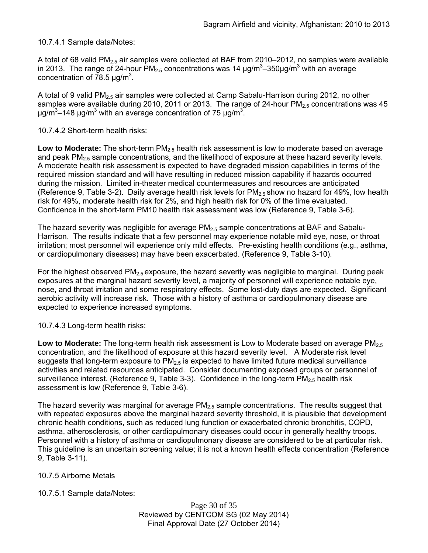### 10.7.4.1 Sample data/Notes:

A total of 68 valid PM<sub>2.5</sub> air samples were collected at BAF from 2010–2012, no samples were available in 2013. The range of 24-hour PM<sub>2.5</sub> concentrations was 14 μg/m<sup>3</sup>–350μg/m<sup>3</sup> with an average concentration of  $78.5 \mu g/m^3$ .

A total of 9 valid  $PM<sub>2.5</sub>$  air samples were collected at Camp Sabalu-Harrison during 2012, no other samples were available during 2010, 2011 or 2013. The range of 24-hour  $PM_{2.5}$  concentrations was 45 μg/m<sup>3</sup> $-148$  μg/m<sup>3</sup> with an average concentration of 75 μg/m<sup>3</sup>.

#### 10.7.4.2 Short-term health risks:

**Low to Moderate:** The short-term PM<sub>2.5</sub> health risk assessment is low to moderate based on average and peak PM<sub>2.5</sub> sample concentrations, and the likelihood of exposure at these hazard severity levels. A moderate health risk assessment is expected to have degraded mission capabilities in terms of the required mission standard and will have resulting in reduced mission capability if hazards occurred during the mission. Limited in-theater medical countermeasures and resources are anticipated (Reference 9, Table 3-2). Daily average health risk levels for  $PM<sub>2.5</sub>$  show no hazard for 49%, low health risk for 49%, moderate health risk for 2%, and high health risk for 0% of the time evaluated. Confidence in the short-term PM10 health risk assessment was low (Reference 9, Table 3-6).

The hazard severity was negligible for average  $PM<sub>2.5</sub>$  sample concentrations at BAF and Sabalu-Harrison. The results indicate that a few personnel may experience notable mild eye, nose, or throat irritation; most personnel will experience only mild effects. Pre-existing health conditions (e.g., asthma, or cardiopulmonary diseases) may have been exacerbated. (Reference 9, Table 3-10).

For the highest observed  $PM<sub>2.5</sub>$  exposure, the hazard severity was negligible to marginal. During peak exposures at the marginal hazard severity level, a majority of personnel will experience notable eye, nose, and throat irritation and some respiratory effects. Some lost-duty days are expected. Significant aerobic activity will increase risk. Those with a history of asthma or cardiopulmonary disease are expected to experience increased symptoms.

10.7.4.3 Long-term health risks:

**Low to Moderate:** The long-term health risk assessment is Low to Moderate based on average PM<sub>2.5</sub> concentration, and the likelihood of exposure at this hazard severity level. A Moderate risk level suggests that long-term exposure to  $PM<sub>2.5</sub>$  is expected to have limited future medical surveillance activities and related resources anticipated. Consider documenting exposed groups or personnel of surveillance interest. (Reference 9, Table 3-3). Confidence in the long-term  $PM_{2.5}$  health risk assessment is low (Reference 9, Table 3-6).

The hazard severity was marginal for average  $PM<sub>2.5</sub>$  sample concentrations. The results suggest that with repeated exposures above the marginal hazard severity threshold, it is plausible that development chronic health conditions, such as reduced lung function or exacerbated chronic bronchitis, COPD, asthma, atherosclerosis, or other cardiopulmonary diseases could occur in generally healthy troops. Personnel with a history of asthma or cardiopulmonary disease are considered to be at particular risk. This guideline is an uncertain screening value; it is not a known health effects concentration (Reference 9, Table 3-11).

### 10.7.5 Airborne Metals

### 10.7.5.1 Sample data/Notes:

Page 30 of 35 Reviewed by CENTCOM SG (02 May 2014) Final Approval Date (27 October 2014)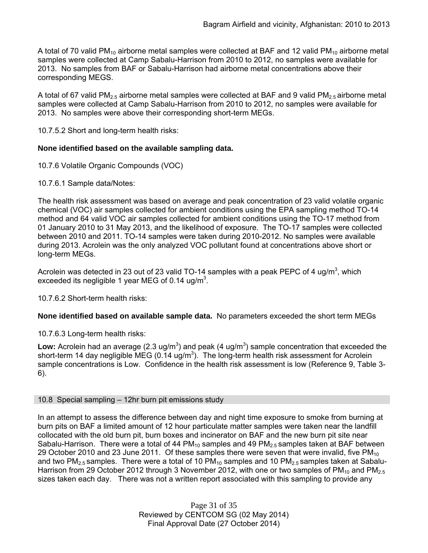A total of 70 valid PM<sub>10</sub> airborne metal samples were collected at BAF and 12 valid PM<sub>10</sub> airborne metal samples were collected at Camp Sabalu-Harrison from 2010 to 2012, no samples were available for 2013. No samples from BAF or Sabalu-Harrison had airborne metal concentrations above their corresponding MEGS.

A total of 67 valid PM<sub>2.5</sub> airborne metal samples were collected at BAF and 9 valid PM<sub>2.5</sub> airborne metal samples were collected at Camp Sabalu-Harrison from 2010 to 2012, no samples were available for 2013. No samples were above their corresponding short-term MEGs.

10.7.5.2 Short and long-term health risks:

### **None identified based on the available sampling data.**

- 10.7.6 Volatile Organic Compounds (VOC)
- 10.7.6.1 Sample data/Notes:

The health risk assessment was based on average and peak concentration of 23 valid volatile organic chemical (VOC) air samples collected for ambient conditions using the EPA sampling method TO-14 method and 64 valid VOC air samples collected for ambient conditions using the TO-17 method from 01 January 2010 to 31 May 2013, and the likelihood of exposure. The TO-17 samples were collected between 2010 and 2011. TO-14 samples were taken during 2010-2012. No samples were available during 2013. Acrolein was the only analyzed VOC pollutant found at concentrations above short or long-term MEGs.

Acrolein was detected in 23 out of 23 valid TO-14 samples with a peak PEPC of 4 ug/m<sup>3</sup>, which exceeded its negligible 1 year MEG of 0.14 ug/m<sup>3</sup>.

10.7.6.2 Short-term health risks:

### **None identified based on available sample data.** No parameters exceeded the short term MEGs

10.7.6.3 Long-term health risks:

Low: Acrolein had an average  $(2.3 \text{ ug/m}^3)$  and peak  $(4 \text{ ug/m}^3)$  sample concentration that exceeded the short-term 14 day negligible MEG (0.14 ug/m<sup>3</sup>). The long-term health risk assessment for Acrolein sample concentrations is Low. Confidence in the health risk assessment is low (Reference 9, Table 3- 6).

#### 10.8 Special sampling – 12hr burn pit emissions study

In an attempt to assess the difference between day and night time exposure to smoke from burning at burn pits on BAF a limited amount of 12 hour particulate matter samples were taken near the landfill collocated with the old burn pit, burn boxes and incinerator on BAF and the new burn pit site near Sabalu-Harrison. There were a total of 44  $PM_{10}$  samples and 49  $PM_{2.5}$  samples taken at BAF between 29 October 2010 and 23 June 2011. Of these samples there were seven that were invalid, five  $PM_{10}$ and two PM<sub>2.5</sub> samples. There were a total of 10 PM<sub>10</sub> samples and 10 PM<sub>2.5</sub> samples taken at Sabalu-Harrison from 29 October 2012 through 3 November 2012, with one or two samples of  $PM_{10}$  and  $PM_{2.5}$ sizes taken each day. There was not a written report associated with this sampling to provide any

> Page 31 of 35 Reviewed by CENTCOM SG (02 May 2014) Final Approval Date (27 October 2014)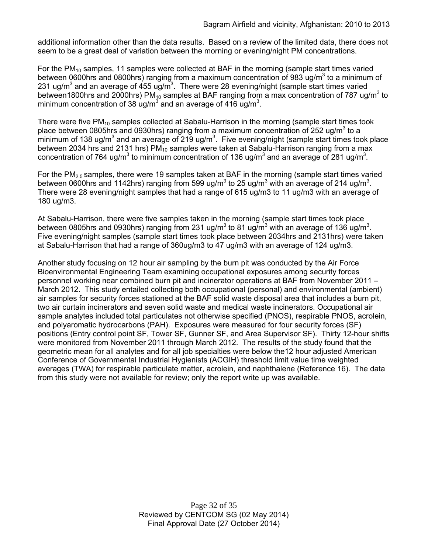additional information other than the data results. Based on a review of the limited data, there does not seem to be a great deal of variation between the morning or evening/night PM concentrations.

For the  $PM_{10}$  samples, 11 samples were collected at BAF in the morning (sample start times varied between 0600hrs and 0800hrs) ranging from a maximum concentration of 983 ug/m<sup>3</sup> to a minimum of 231 ug/m<sup>3</sup> and an average of 455 ug/m<sup>3</sup>. There were 28 evening/night (sample start times varied between1800hrs and 2000hrs) PM<sub>10</sub> samples at BAF ranging from a max concentration of 787 ug/m<sup>3</sup> to minimum concentration of 38 ug/m<sup>3</sup> and an average of 416 ug/m<sup>3</sup>.

There were five  $PM_{10}$  samples collected at Sabalu-Harrison in the morning (sample start times took place between 0805hrs and 0930hrs) ranging from a maximum concentration of 252 ug/m<sup>3</sup> to a minimum of 138 ug/m<sup>3</sup> and an average of 219 ug/m<sup>3</sup>. Five evening/night (sample start times took place between 2034 hrs and 2131 hrs)  $PM_{10}$  samples were taken at Sabalu-Harrison ranging from a max concentration of 764 ug/m<sup>3</sup> to minimum concentration of 136 ug/m<sup>3</sup> and an average of 281 ug/m<sup>3</sup>.

For the PM<sub>2.5</sub> samples, there were 19 samples taken at BAF in the morning (sample start times varied between 0600hrs and 1142hrs) ranging from 599 ug/m<sup>3</sup> to 25 ug/m<sup>3</sup> with an average of 214 ug/m<sup>3</sup>. There were 28 evening/night samples that had a range of 615 ug/m3 to 11 ug/m3 with an average of 180 ug/m3.

At Sabalu-Harrison, there were five samples taken in the morning (sample start times took place between 0805hrs and 0930hrs) ranging from 231 ug/m<sup>3</sup> to 81 ug/m<sup>3</sup> with an average of 136 ug/m<sup>3</sup>. Five evening/night samples (sample start times took place between 2034hrs and 2131hrs) were taken at Sabalu-Harrison that had a range of 360ug/m3 to 47 ug/m3 with an average of 124 ug/m3.

Another study focusing on 12 hour air sampling by the burn pit was conducted by the Air Force Bioenvironmental Engineering Team examining occupational exposures among security forces personnel working near combined burn pit and incinerator operations at BAF from November 2011 – March 2012. This study entailed collecting both occupational (personal) and environmental (ambient) air samples for security forces stationed at the BAF solid waste disposal area that includes a burn pit, two air curtain incinerators and seven solid waste and medical waste incinerators. Occupational air sample analytes included total particulates not otherwise specified (PNOS), respirable PNOS, acrolein, and polyaromatic hydrocarbons (PAH). Exposures were measured for four security forces (SF) positions (Entry control point SF, Tower SF, Gunner SF, and Area Supervisor SF). Thirty 12-hour shifts were monitored from November 2011 through March 2012. The results of the study found that the geometric mean for all analytes and for all job specialties were below the12 hour adjusted American Conference of Governmental Industrial Hygienists (ACGIH) threshold limit value time weighted averages (TWA) for respirable particulate matter, acrolein, and naphthalene (Reference 16). The data from this study were not available for review; only the report write up was available.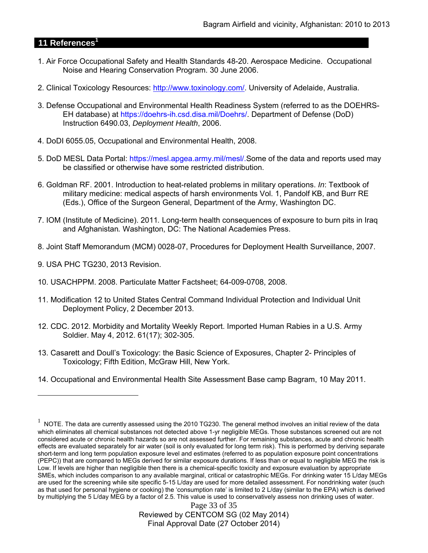# **11 References<sup>1</sup>**

- 1. Air Force Occupational Safety and Health Standards 48-20. Aerospace Medicine. Occupational Noise and Hearing Conservation Program. 30 June 2006.
- 2. Clinical Toxicology Resources: http://www.toxinology.com/. University of Adelaide, Australia.
- 3. Defense Occupational and Environmental Health Readiness System (referred to as the DOEHRS-EH database) at https://doehrs-ih.csd.disa.mil/Doehrs/. Department of Defense (DoD) Instruction 6490.03, *Deployment Health*, 2006.
- 4. DoDI 6055.05, Occupational and Environmental Health, 2008.
- 5. DoD MESL Data Portal: https://mesl.apgea.army.mil/mesl/.Some of the data and reports used may be classified or otherwise have some restricted distribution.
- 6. Goldman RF. 2001. Introduction to heat-related problems in military operations. *In*: Textbook of military medicine: medical aspects of harsh environments Vol. 1, Pandolf KB, and Burr RE (Eds.), Office of the Surgeon General, Department of the Army, Washington DC.
- 7. IOM (Institute of Medicine). 2011*.* Long-term health consequences of exposure to burn pits in Iraq and Afghanistan*.* Washington, DC: The National Academies Press.
- 8. Joint Staff Memorandum (MCM) 0028-07, Procedures for Deployment Health Surveillance, 2007.
- 9. USA PHC TG230, 2013 Revision.

 $\overline{a}$ 

- 10. USACHPPM. 2008. Particulate Matter Factsheet; 64-009-0708, 2008.
- 11. Modification 12 to United States Central Command Individual Protection and Individual Unit Deployment Policy, 2 December 2013.
- 12. CDC. 2012. Morbidity and Mortality Weekly Report. Imported Human Rabies in a U.S. Army Soldier. May 4, 2012. 61(17); 302-305.
- 13. Casarett and Doull's Toxicology: the Basic Science of Exposures, Chapter 2- Principles of Toxicology; Fifth Edition, McGraw Hill, New York.
- 14. Occupational and Environmental Health Site Assessment Base camp Bagram, 10 May 2011.

Page 33 of 35 Reviewed by CENTCOM SG (02 May 2014) Final Approval Date (27 October 2014)

 $1$  NOTE. The data are currently assessed using the 2010 TG230. The general method involves an initial review of the data which eliminates all chemical substances not detected above 1-yr negligible MEGs. Those substances screened out are not considered acute or chronic health hazards so are not assessed further. For remaining substances, acute and chronic health effects are evaluated separately for air water (soil is only evaluated for long term risk). This is performed by deriving separate short-term and long term population exposure level and estimates (referred to as population exposure point concentrations (PEPC)) that are compared to MEGs derived for similar exposure durations. If less than or equal to negligible MEG the risk is Low. If levels are higher than negligible then there is a chemical-specific toxicity and exposure evaluation by appropriate SMEs, which includes comparison to any available marginal, critical or catastrophic MEGs. For drinking water 15 L/day MEGs are used for the screening while site specific 5-15 L/day are used for more detailed assessment. For nondrinking water (such as that used for personal hygiene or cooking) the 'consumption rate' is limited to 2 L/day (similar to the EPA) which is derived by multiplying the 5 L/day MEG by a factor of 2.5. This value is used to conservatively assess non drinking uses of water.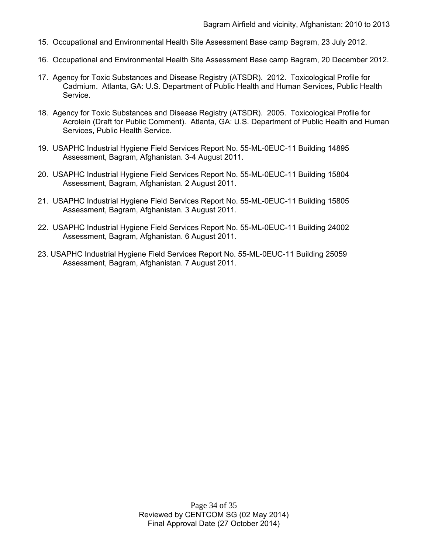- 15. Occupational and Environmental Health Site Assessment Base camp Bagram, 23 July 2012.
- 16. Occupational and Environmental Health Site Assessment Base camp Bagram, 20 December 2012.
- 17. Agency for Toxic Substances and Disease Registry (ATSDR). 2012. Toxicological Profile for Cadmium. Atlanta, GA: U.S. Department of Public Health and Human Services, Public Health Service.
- 18. Agency for Toxic Substances and Disease Registry (ATSDR). 2005. Toxicological Profile for Acrolein (Draft for Public Comment). Atlanta, GA: U.S. Department of Public Health and Human Services, Public Health Service.
- 19. USAPHC Industrial Hygiene Field Services Report No. 55-ML-0EUC-11 Building 14895 Assessment, Bagram, Afghanistan. 3-4 August 2011.
- 20. USAPHC Industrial Hygiene Field Services Report No. 55-ML-0EUC-11 Building 15804 Assessment, Bagram, Afghanistan. 2 August 2011.
- 21. USAPHC Industrial Hygiene Field Services Report No. 55-ML-0EUC-11 Building 15805 Assessment, Bagram, Afghanistan. 3 August 2011.
- 22. USAPHC Industrial Hygiene Field Services Report No. 55-ML-0EUC-11 Building 24002 Assessment, Bagram, Afghanistan. 6 August 2011.
- 23. USAPHC Industrial Hygiene Field Services Report No. 55-ML-0EUC-11 Building 25059 Assessment, Bagram, Afghanistan. 7 August 2011.